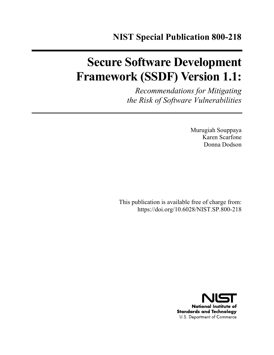# **Secure Software Development Framework (SSDF) Version 1.1:**

*Recommendations for Mitigating the Risk of Software Vulnerabilities*

> Murugiah Souppaya Karen Scarfone Donna Dodson

This publication is available free of charge from: https://doi.org/10.6028/NIST.SP.800-218

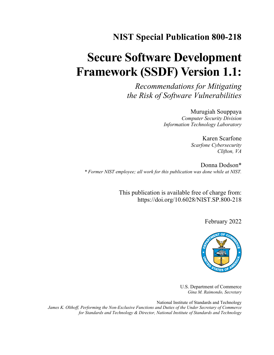## **NIST Special Publication 800-218**

# **Secure Software Development Framework (SSDF) Version 1.1:**

*Recommendations for Mitigating the Risk of Software Vulnerabilities*

> Murugiah Souppaya *Computer Security Division Information Technology Laboratory*

> > Karen Scarfone *Scarfone Cybersecurity Clifton, VA*

Donna Dodson\* *\* Former NIST employee; all work for this publication was done while at NIST.*

> This publication is available free of charge from: https://doi.org/10.6028/NIST.SP.800-218

> > February 2022



U.S. Department of Commerce *Gina M. Raimondo, Secretary*

National Institute of Standards and Technology *James K. Olthoff, Performing the Non-Exclusive Functions and Duties of the Under Secretary of Commerce for Standards and Technology & Director, National Institute of Standards and Technology*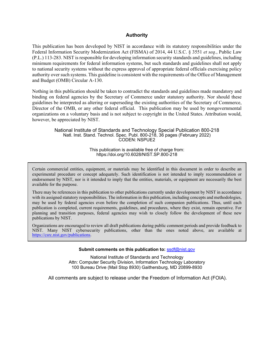#### **Authority**

This publication has been developed by NIST in accordance with its statutory responsibilities under the Federal Information Security Modernization Act (FISMA) of 2014, 44 U.S.C. § 3551 *et seq.*, Public Law (P.L.) 113-283. NIST is responsible for developing information security standards and guidelines, including minimum requirements for federal information systems, but such standards and guidelines shall not apply to national security systems without the express approval of appropriate federal officials exercising policy authority over such systems. This guideline is consistent with the requirements of the Office of Management and Budget (OMB) Circular A-130.

Nothing in this publication should be taken to contradict the standards and guidelines made mandatory and binding on federal agencies by the Secretary of Commerce under statutory authority. Nor should these guidelines be interpreted as altering or superseding the existing authorities of the Secretary of Commerce, Director of the OMB, or any other federal official. This publication may be used by nongovernmental organizations on a voluntary basis and is not subject to copyright in the United States. Attribution would, however, be appreciated by NIST.

> National Institute of Standards and Technology Special Publication 800-218 Natl. Inst. Stand. Technol. Spec. Publ. 800-218, 36 pages (February 2022) CODEN: NSPUE2

> > This publication is available free of charge from: https://doi.org/10.6028/NIST.SP.800-218

Certain commercial entities, equipment, or materials may be identified in this document in order to describe an experimental procedure or concept adequately. Such identification is not intended to imply recommendation or endorsement by NIST, nor is it intended to imply that the entities, materials, or equipment are necessarily the best available for the purpose.

There may be references in this publication to other publications currently under development by NIST in accordance with its assigned statutory responsibilities. The information in this publication, including concepts and methodologies, may be used by federal agencies even before the completion of such companion publications. Thus, until each publication is completed, current requirements, guidelines, and procedures, where they exist, remain operative. For planning and transition purposes, federal agencies may wish to closely follow the development of these new publications by NIST.

Organizations are encouraged to review all draft publications during public comment periods and provide feedback to NIST. Many NIST cybersecurity publications, other than the ones noted above, are available at https://csrc.nist.gov/publications.

#### **Submit comments on this publication to: ssdf@nist.gov**

National Institute of Standards and Technology Attn: Computer Security Division, Information Technology Laboratory 100 Bureau Drive (Mail Stop 8930) Gaithersburg, MD 20899-8930

All comments are subject to release under the Freedom of Information Act (FOIA).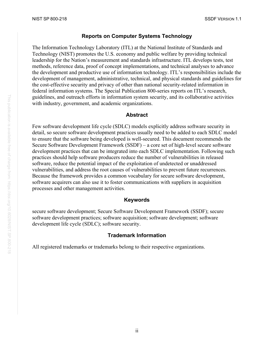#### **Reports on Computer Systems Technology**

The Information Technology Laboratory (ITL) at the National Institute of Standards and Technology (NIST) promotes the U.S. economy and public welfare by providing technical leadership for the Nation's measurement and standards infrastructure. ITL develops tests, test methods, reference data, proof of concept implementations, and technical analyses to advance the development and productive use of information technology. ITL's responsibilities include the development of management, administrative, technical, and physical standards and guidelines for the cost-effective security and privacy of other than national security-related information in federal information systems. The Special Publication 800-series reports on ITL's research, guidelines, and outreach efforts in information system security, and its collaborative activities with industry, government, and academic organizations.

#### **Abstract**

Few software development life cycle (SDLC) models explicitly address software security in detail, so secure software development practices usually need to be added to each SDLC model to ensure that the software being developed is well-secured. This document recommends the Secure Software Development Framework (SSDF) – a core set of high-level secure software development practices that can be integrated into each SDLC implementation. Following such practices should help software producers reduce the number of vulnerabilities in released software, reduce the potential impact of the exploitation of undetected or unaddressed vulnerabilities, and address the root causes of vulnerabilities to prevent future recurrences. Because the framework provides a common vocabulary for secure software development, software acquirers can also use it to foster communications with suppliers in acquisition processes and other management activities.

#### **Keywords**

secure software development; Secure Software Development Framework (SSDF); secure software development practices; software acquisition; software development; software development life cycle (SDLC); software security.

#### **Trademark Information**

All registered trademarks or trademarks belong to their respective organizations.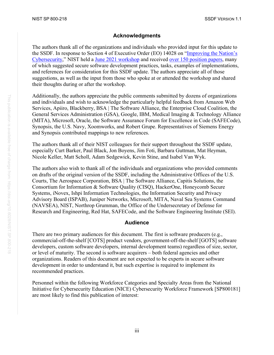#### **Acknowledgments**

The authors thank all of the organizations and individuals who provided input for this update to the SSDF. In response to Section 4 of Executive Order (EO) 14028 on "Improving the Nation's Cybersecurity," NIST held a June 2021 workshop and received over 150 position papers, many of which suggested secure software development practices, tasks, examples of implementations, and references for consideration for this SSDF update. The authors appreciate all of those suggestions, as well as the input from those who spoke at or attended the workshop and shared their thoughts during or after the workshop.

Additionally, the authors appreciate the public comments submitted by dozens of organizations and individuals and wish to acknowledge the particularly helpful feedback from Amazon Web Services, Apiiro, Blackberry, BSA | The Software Alliance, the Enterprise Cloud Coalition, the General Services Administration (GSA), Google, IBM, Medical Imaging & Technology Alliance (MITA), Microsoft, Oracle, the Software Assurance Forum for Excellence in Code (SAFECode), Synopsis, the U.S. Navy, Xoomworks, and Robert Grupe. Representatives of Siemens Energy and Synopsis contributed mappings to new references.

The authors thank all of their NIST colleagues for their support throughout the SSDF update, especially Curt Barker, Paul Black, Jon Boyens, Jim Foti, Barbara Guttman, Mat Heyman, Nicole Keller, Matt Scholl, Adam Sedgewick, Kevin Stine, and Isabel Van Wyk.

The authors also wish to thank all of the individuals and organizations who provided comments on drafts of the original version of the SSDF, including the Administrative Offices of the U.S. Courts, The Aerospace Corporation, BSA | The Software Alliance, Capitis Solutions, the Consortium for Information & Software Quality (CISQ), HackerOne, Honeycomb Secure Systems, iNovex, Ishpi Information Technologies, the Information Security and Privacy Advisory Board (ISPAB), Juniper Networks, Microsoft, MITA, Naval Sea Systems Command (NAVSEA), NIST, Northrop Grumman, the Office of the Undersecretary of Defense for Research and Engineering, Red Hat, SAFECode, and the Software Engineering Institute (SEI).

#### **Audience**

There are two primary audiences for this document. The first is software producers (e.g., commercial-off-the-shelf [COTS] product vendors, government-off-the-shelf [GOTS] software developers, custom software developers, internal development teams) regardless of size, sector, or level of maturity. The second is software acquirers – both federal agencies and other organizations. Readers of this document are not expected to be experts in secure software development in order to understand it, but such expertise is required to implement its recommended practices.

Personnel within the following Workforce Categories and Specialty Areas from the National Initiative for Cybersecurity Education (NICE) Cybersecurity Workforce Framework [\[SP800181\]](#page-31-0) are most likely to find this publication of interest: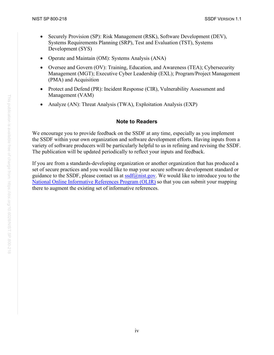- Securely Provision (SP): Risk Management (RSK), Software Development (DEV), Systems Requirements Planning (SRP), Test and Evaluation (TST), Systems Development (SYS)
- Operate and Maintain (OM): Systems Analysis (ANA)
- Oversee and Govern (OV): Training, Education, and Awareness (TEA); Cybersecurity Management (MGT); Executive Cyber Leadership (EXL); Program/Project Management (PMA) and Acquisition
- Protect and Defend (PR): Incident Response (CIR), Vulnerability Assessment and Management (VAM)
- Analyze (AN): Threat Analysis (TWA), Exploitation Analysis (EXP)

#### **Note to Readers**

We encourage you to provide feedback on the SSDF at any time, especially as you implement the SSDF within your own organization and software development efforts. Having inputs from a variety of software producers will be particularly helpful to us in refining and revising the SSDF. The publication will be updated periodically to reflect your inputs and feedback.

If you are from a standards-developing organization or another organization that has produced a set of secure practices and you would like to map your secure software development standard or guidance to the SSDF, please contact us at  $\text{ssdf}(a)$  mist.gov. We would like to introduce you to the National Online Informative References Program (OLIR) so that you can submit your mapping there to augment the existing set of informative references.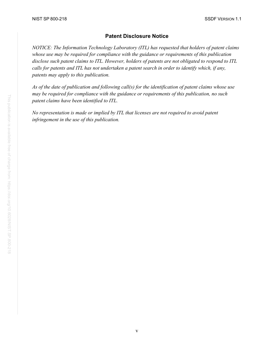### **Patent Disclosure Notice**

*NOTICE: The Information Technology Laboratory (ITL) has requested that holders of patent claims whose use may be required for compliance with the guidance or requirements of this publication disclose such patent claims to ITL. However, holders of patents are not obligated to respond to ITL calls for patents and ITL has not undertaken a patent search in order to identify which, if any, patents may apply to this publication.*

*As of the date of publication and following call(s) for the identification of patent claims whose use may be required for compliance with the guidance or requirements of this publication, no such patent claims have been identified to ITL.* 

*No representation is made or implied by ITL that licenses are not required to avoid patent infringement in the use of this publication.*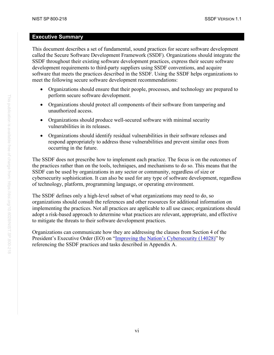#### <span id="page-7-0"></span>**Executive Summary**

This document describes a set of fundamental, sound practices for secure software development called the Secure Software Development Framework (SSDF). Organizations should integrate the SSDF throughout their existing software development practices, express their secure software development requirements to third-party suppliers using SSDF conventions, and acquire software that meets the practices described in the SSDF. Using the SSDF helps organizations to meet the following secure software development recommendations:

- Organizations should ensure that their people, processes, and technology are prepared to perform secure software development.
- Organizations should protect all components of their software from tampering and unauthorized access.
- Organizations should produce well-secured software with minimal security vulnerabilities in its releases.
- Organizations should identify residual vulnerabilities in their software releases and respond appropriately to address those vulnerabilities and prevent similar ones from occurring in the future.

The SSDF does not prescribe how to implement each practice. The focus is on the outcomes of the practices rather than on the tools, techniques, and mechanisms to do so. This means that the SSDF can be used by organizations in any sector or community, regardless of size or cybersecurity sophistication. It can also be used for any type of software development, regardless of technology, platform, programming language, or operating environment.

The SSDF defines only a high-level subset of what organizations may need to do, so organizations should consult the references and other resources for additional information on implementing the practices. Not all practices are applicable to all use cases; organizations should adopt a risk-based approach to determine what practices are relevant, appropriate, and effective to mitigate the threats to their software development practices.

Organizations can communicate how they are addressing the clauses from Section 4 of the President's Executive Order (EO) on "Improving the Nation's Cybersecurity (14028)" by referencing the SSDF practices and tasks described in Appendix A.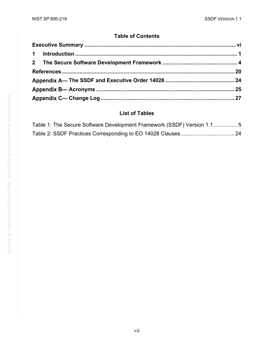### **Table of Contents**

### **List of Tables**

| Table 1: The Secure Software Development Framework (SSDF) Version 1.15 |  |
|------------------------------------------------------------------------|--|
|                                                                        |  |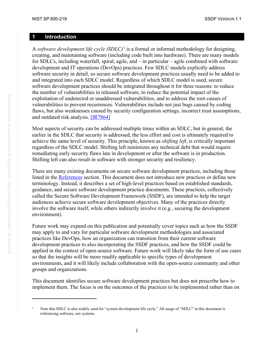#### <span id="page-9-0"></span>**1 Introduction**

A *software development life cycle (SDLC)*[1](#page-9-1) is a formal or informal methodology for designing, creating, and maintaining software (including code built into hardware). There are many models for SDLCs, including waterfall, spiral, agile, and – in particular – agile combined with software development and IT operations (DevOps) practices. Few SDLC models explicitly address software security in detail, so secure software development practices usually need to be added to and integrated into each SDLC model. Regardless of which SDLC model is used, secure software development practices should be integrated throughout it for three reasons: to reduce the number of vulnerabilities in released software, to reduce the potential impact of the exploitation of undetected or unaddressed vulnerabilities, and to address the root causes of vulnerabilities to prevent recurrences. Vulnerabilities include not just bugs caused by coding flaws, but also weaknesses caused by security configuration settings, incorrect trust assumptions, and outdated risk analysis. [\[IR7864\]](#page-28-1)

Most aspects of security can be addressed multiple times within an SDLC, but in general, the earlier in the SDLC that security is addressed, the less effort and cost is ultimately required to achieve the same level of security. This principle, known as *shifting left*, is critically important regardless of the SDLC model. Shifting left minimizes any technical debt that would require remediating early security flaws late in development or after the software is in production. Shifting left can also result in software with stronger security and resiliency.

There are many existing documents on secure software development practices, including those listed in the [References](#page-28-0) section. This document does not introduce new practices or define new terminology. Instead, it describes a set of high-level practices based on established standards, guidance, and secure software development practice documents. These practices, collectively called the Secure Software Development Framework (SSDF), are intended to help the target audiences achieve secure software development objectives. Many of the practices directly involve the software itself, while others indirectly involve it (e.g., securing the development environment).

Future work may expand on this publication and potentially cover topics such as how the SSDF may apply to and vary for particular software development methodologies and associated practices like DevOps, how an organization can transition from their current software development practices to also incorporating the SSDF practices, and how the SSDF could be applied in the context of open-source software. Future work will likely take the form of use cases so that the insights will be more readily applicable to specific types of development environments, and it will likely include collaboration with the open-source community and other groups and organizations.

This document identifies secure software development practices but does not prescribe how to implement them. The focus is on the outcomes of the practices to be implemented rather than on

<span id="page-9-1"></span><sup>&</sup>lt;sup>1</sup> Note that SDLC is also widely used for "system development life cycle." All usage of "SDLC" in this document is referencing software, not systems.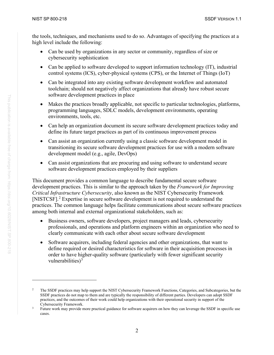the tools, techniques, and mechanisms used to do so. Advantages of specifying the practices at a high level include the following:

- Can be used by organizations in any sector or community, regardless of size or cybersecurity sophistication
- Can be applied to software developed to support information technology (IT), industrial control systems (ICS), cyber-physical systems (CPS), or the Internet of Things (IoT)
- Can be integrated into any existing software development workflow and automated toolchain; should not negatively affect organizations that already have robust secure software development practices in place
- Makes the practices broadly applicable, not specific to particular technologies, platforms, programming languages, SDLC models, development environments, operating environments, tools, etc.
- Can help an organization document its secure software development practices today and define its future target practices as part of its continuous improvement process
- Can assist an organization currently using a classic software development model in transitioning its secure software development practices for use with a modern software development model (e.g., agile, DevOps)
- Can assist organizations that are procuring and using software to understand secure software development practices employed by their suppliers

This document provides a common language to describe fundamental secure software development practices. This is similar to the approach taken by the *Framework for Improving Critical Infrastructure Cybersecurity*, also known as the NIST Cybersecurity Framework [\[NISTCSF\].](#page-29-0) [2](#page-10-0) Expertise in secure software development is not required to understand the practices. The common language helps facilitate communications about secure software practices among both internal and external organizational stakeholders, such as:

- Business owners, software developers, project managers and leads, cybersecurity professionals, and operations and platform engineers within an organization who need to clearly communicate with each other about secure software development
- Software acquirers, including federal agencies and other organizations, that want to define required or desired characteristics for software in their acquisition processes in order to have higher-quality software (particularly with fewer significant security vulnerabilities) $3$

<span id="page-10-0"></span><sup>&</sup>lt;sup>2</sup> The SSDF practices may help support the NIST Cybersecurity Framework Functions, Categories, and Subcategories, but the SSDF practices do not map to them and are typically the responsibility of different parties. Developers can adopt SSDF practices, and the outcomes of their work could help organizations with their operational security in support of the Cybersecurity Framework.

<span id="page-10-1"></span><sup>&</sup>lt;sup>3</sup> Future work may provide more practical guidance for software acquirers on how they can leverage the SSDF in specific use cases.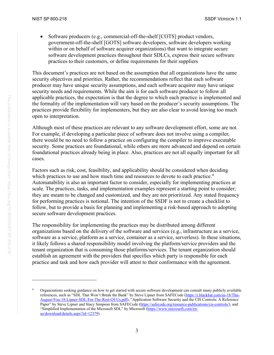Software producers (e.g., commercial-off-the-shelf [COTS] product vendors, government-off-the-shelf [GOTS] software developers, software developers working within or on behalf of software acquirer organizations) that want to integrate secure software development practices throughout their SDLCs, express their secure software practices to their customers, or define requirements for their suppliers

This document's practices are not based on the assumption that all organizations have the same security objectives and priorities. Rather, the recommendations reflect that each software producer may have unique security assumptions, and each software acquirer may have unique security needs and requirements. While the aim is for each software producer to follow all applicable practices, the expectation is that the degree to which each practice is implemented and the formality of the implementation will vary based on the producer's security assumptions. The practices provide flexibility for implementers, but they are also clear to avoid leaving too much open to interpretation.

Although most of these practices are relevant to any software development effort, some are not. For example, if developing a particular piece of software does not involve using a compiler, there would be no need to follow a practice on configuring the compiler to improve executable security. Some practices are foundational, while others are more advanced and depend on certain foundational practices already being in place. Also, practices are not all equally important for all cases.

Factors such as risk, cost, feasibility, and applicability should be considered when deciding which practices to use and how much time and resources to devote to each practice.<sup>[4](#page-11-0)</sup> Automatability is also an important factor to consider, especially for implementing practices at scale. The practices, tasks, and implementation examples represent a starting point to consider; they are meant to be changed and customized, and they are not prioritized. Any stated frequency for performing practices is notional. The intention of the SSDF is not to create a checklist to follow, but to provide a basis for planning and implementing a risk-based approach to adopting secure software development practices.

The responsibility for implementing the practices may be distributed among different organizations based on the delivery of the software and services (e.g., infrastructure as a service, software as a service, platform as a service, container as a service, serverless). In these situations, it likely follows a shared responsibility model involving the platform/service providers and the tenant organization that is consuming those platforms/services. The tenant organization should establish an agreement with the providers that specifies which party is responsible for each practice and task and how each provider will attest to their conformance with the agreement.

<span id="page-11-0"></span><sup>&</sup>lt;sup>4</sup> Organizations seeking guidance on how to get started with secure software development can consult many publicly available references, such as "SDL That Won't Break the Bank" by Steve Lipner from SAFECode (https://i.blackhat.com/us-18/Thu-August-9/us-18-Lipner-SDL-For-The-Rest-Of-Us.pdf), "Application Software Security and the CIS Controls: A Reference Paper" by Steve Lipner and Stacy Simpson from SAFECode (https://safecode.org/resource-publications/cis-controls/), and "Simplified Implementation of the Microsoft SDL" by Microsoft (https://www.microsoft.com/enus/download/details.aspx?id=12379).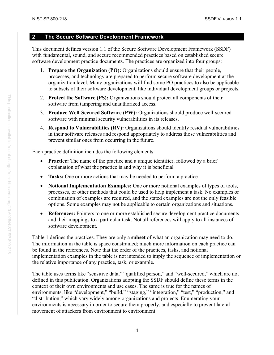#### <span id="page-12-0"></span>**2 The Secure Software Development Framework**

This document defines version 1.1 of the Secure Software Development Framework (SSDF) with fundamental, sound, and secure recommended practices based on established secure software development practice documents. The practices are organized into four groups:

- 1. **Prepare the Organization (PO):** Organizations should ensure that their people, processes, and technology are prepared to perform secure software development at the organization level. Many organizations will find some PO practices to also be applicable to subsets of their software development, like individual development groups or projects.
- 2. **Protect the Software (PS):** Organizations should protect all components of their software from tampering and unauthorized access.
- 3. **Produce Well-Secured Software (PW):** Organizations should produce well-secured software with minimal security vulnerabilities in its releases.
- 4. **Respond to Vulnerabilities (RV):** Organizations should identify residual vulnerabilities in their software releases and respond appropriately to address those vulnerabilities and prevent similar ones from occurring in the future.

Each practice definition includes the following elements:

- **Practice:** The name of the practice and a unique identifier, followed by a brief explanation of what the practice is and why it is beneficial
- **Tasks:** One or more actions that may be needed to perform a practice
- **Notional Implementation Examples:** One or more notional examples of types of tools, processes, or other methods that could be used to help implement a task. No examples or combination of examples are required, and the stated examples are not the only feasible options. Some examples may not be applicable to certain organizations and situations.
- **References:** Pointers to one or more established secure development practice documents and their mappings to a particular task. Not all references will apply to all instances of software development.

[Table 1](#page-13-0) defines the practices. They are only a **subset** of what an organization may need to do. The information in the table is space constrained; much more information on each practice can be found in the references. Note that the order of the practices, tasks, and notional implementation examples in the table is not intended to imply the sequence of implementation or the relative importance of any practice, task, or example.

The table uses terms like "sensitive data," "qualified person," and "well-secured," which are not defined in this publication. Organizations adopting the SSDF should define these terms in the context of their own environments and use cases. The same is true for the names of environments, like "development," "build," "staging," "integration," "test," "production," and "distribution," which vary widely among organizations and projects. Enumerating your environments is necessary in order to secure them properly, and especially to prevent lateral movement of attackers from environment to environment.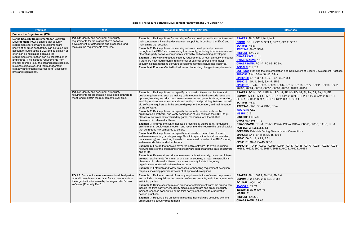#### **Table 1: The Secure Software Development Framework (SSDF) Version 1.1**

the Implementation and Deployment of Secure Development Practices **[SP80053](#page-30-2)**: SA-1, SA-8, SA-15, SR-3 **[SP800160](#page-30-3)**: 3.1.2, 3.2.1, 3.2.2, 3.3.1, 3.4.2, 3.4.3 **[SP800161](#page-31-1)**: SA-1, SA-8, SA-15, SR-3 0003, K0039, K0044, K0157, K0168, K0177, K0211, K0260, K0261, 0, S0357, S0368; A0033, A0123, A0151 **BSAFSS**: SC.1-1, SC.2, PD.1-1, PD.1-2, PD.1-3, PD.2-2, SI, PA, CS, AA, LO, EE

**OWASPSAMM**: PC1-A, PC1-B, PC2-A, PC3-A, SR1-A, SR1-B, SR2-B, SA1-B, IR1-A **PCISSLC**: 2.1, 2.2, 2.3, 3.3 **Coding Standards and Conventions SP80053**: SA-8, SA-8(3), SA-15, SR-3 **SP80.3.3.1** -15, SR-3 0003, K0039, K0044, K0157, K0168, K0177, K0211, K0260, K0261, 0, S0357, S0368; A0033, A0123, A0151

<span id="page-13-0"></span>

| <b>Practices</b>                                                                                                                                                                                                                                                                                                                                                                                                                                                                                                                                                           | <b>Tasks</b>                                                                                                                                                                                       | <b>Notional Implementation Examples</b>                                                                                                                                                                                                                                                                                                                                                                                                                                                                                                                                                                                                                                                                                                                                                                                                                                                                                                                                                                                                                                                                                                                                                                                                                                                                                                                                                                                                                                                                                                                                                                                                                                                                                                                                                                                                                                                                                                  | <b>References</b>                                                                                                                                                                                                                                                                                                                                                                                                                                                                                                                                                                                                                                                         |
|----------------------------------------------------------------------------------------------------------------------------------------------------------------------------------------------------------------------------------------------------------------------------------------------------------------------------------------------------------------------------------------------------------------------------------------------------------------------------------------------------------------------------------------------------------------------------|----------------------------------------------------------------------------------------------------------------------------------------------------------------------------------------------------|------------------------------------------------------------------------------------------------------------------------------------------------------------------------------------------------------------------------------------------------------------------------------------------------------------------------------------------------------------------------------------------------------------------------------------------------------------------------------------------------------------------------------------------------------------------------------------------------------------------------------------------------------------------------------------------------------------------------------------------------------------------------------------------------------------------------------------------------------------------------------------------------------------------------------------------------------------------------------------------------------------------------------------------------------------------------------------------------------------------------------------------------------------------------------------------------------------------------------------------------------------------------------------------------------------------------------------------------------------------------------------------------------------------------------------------------------------------------------------------------------------------------------------------------------------------------------------------------------------------------------------------------------------------------------------------------------------------------------------------------------------------------------------------------------------------------------------------------------------------------------------------------------------------------------------------|---------------------------------------------------------------------------------------------------------------------------------------------------------------------------------------------------------------------------------------------------------------------------------------------------------------------------------------------------------------------------------------------------------------------------------------------------------------------------------------------------------------------------------------------------------------------------------------------------------------------------------------------------------------------------|
| <b>Prepare the Organization (PO)</b>                                                                                                                                                                                                                                                                                                                                                                                                                                                                                                                                       |                                                                                                                                                                                                    |                                                                                                                                                                                                                                                                                                                                                                                                                                                                                                                                                                                                                                                                                                                                                                                                                                                                                                                                                                                                                                                                                                                                                                                                                                                                                                                                                                                                                                                                                                                                                                                                                                                                                                                                                                                                                                                                                                                                          |                                                                                                                                                                                                                                                                                                                                                                                                                                                                                                                                                                                                                                                                           |
| <b>Define Security Requirements for Software</b><br>Development (PO.1): Ensure that security<br>requirements for software development are<br>known at all times so that they can be taken into<br>account throughout the SDLC and duplication of<br>effort can be minimized because the<br>requirements information can be collected once<br>and shared. This includes requirements from<br>internal sources (e.g., the organization's policies,<br>business objectives, and risk management<br>strategy) and external sources (e.g., applicable<br>laws and regulations). | PO.1.1: Identify and document all security<br>requirements for the organization's software<br>development infrastructures and processes, and<br>maintain the requirements over time.               | Example 1: Define policies for securing software development infrastructures and<br>their components, including development endpoints, throughout the SDLC and<br>maintaining that security.<br><b>Example 2:</b> Define policies for securing software development processes<br>throughout the SDLC and maintaining that security, including for open-source and<br>other third-party software components utilized by software being developed.<br><b>Example 3:</b> Review and update security requirements at least annually, or sooner<br>if there are new requirements from internal or external sources, or a major<br>security incident targeting software development infrastructure has occurred.<br><b>Example 4:</b> Educate affected individuals on impending changes to requirements.                                                                                                                                                                                                                                                                                                                                                                                                                                                                                                                                                                                                                                                                                                                                                                                                                                                                                                                                                                                                                                                                                                                                       | <b>BSAFSS:</b> SM.3, DE.1, IA.1, IA.2<br><b>BSIMM:</b> CP1.1, CP1.3, SR1.1, SR2.2, SE1.2, SE2.6<br><b>EO14028</b> : $4e(ix)$<br>IEC62443: SM-7, SM-9<br><b>NISTCSF: ID.GV-3</b><br><b>OWASPASVS: 1.1.1</b><br><b>OWASPMASVS 1.10</b><br>OWASPSAMM: PC1-A, PC1-B, PC2-A<br><b>PCISSLC: 2.1, 2.2</b><br><b>SCFPSSD:</b> Planning the Implementation and Deploy<br>SP80053: SA-1, SA-8, SA-15, SR-3<br>SP800160: 3.1.2, 3.2.1, 3.2.2, 3.3.1, 3.4.2, 3.4.3<br>SP800161 SA-1, SA-8, SA-15, SR-3<br>SP800181: T0414; K0003, K0039, K0044, K0157, K<br>K0262, K0524; S0010, S0357, S0368; A0033, A012                                                                            |
|                                                                                                                                                                                                                                                                                                                                                                                                                                                                                                                                                                            | PO.1.2: Identify and document all security<br>requirements for organization-developed software to<br>meet, and maintain the requirements over time.                                                | <b>Example 1:</b> Define policies that specify risk-based software architecture and<br>design requirements, such as making code modular to facilitate code reuse and<br>updates; isolating security components from other components during execution;<br>avoiding undocumented commands and settings; and providing features that will<br>aid software acquirers with the secure deployment, operation, and maintenance<br>of the software.<br><b>Example 2:</b> Define policies that specify the security requirements for the<br>organization's software, and verify compliance at key points in the SDLC (e.g.,<br>classes of software flaws verified by gates, responses to vulnerabilities<br>discovered in released software).<br><b>Example 3:</b> Analyze the risk of applicable technology stacks (e.g., languages,<br>environments, deployment models), and recommend or require the use of stacks<br>that will reduce risk compared to others.<br><b>Example 4:</b> Define policies that specify what needs to be archived for each<br>software release (e.g., code, package files, third-party libraries, documentation,<br>data inventory) and how long it needs to be retained based on the SDLC model,<br>software end-of-life, and other factors.<br><b>Example 5:</b> Ensure that policies cover the entire software life cycle, including<br>notifying users of the impending end of software support and the date of software<br>end-of-life.<br><b>Example 6:</b> Review all security requirements at least annually, or sooner if there<br>are new requirements from internal or external sources, a major vulnerability is<br>discovered in released software, or a major security incident targeting<br>organization-developed software has occurred.<br><b>Example 7:</b> Establish and follow processes for handling requirement exception<br>requests, including periodic reviews of all approved exceptions. | BSAFSS: SC.1-1, SC.2, PD.1-1, PD.1-2, PD.1-3, PI<br>BSIMM: SM1.1, SM1.4, SM2.2, CP1.1, CP1.2, CP1.<br>SFD2.1, SFD3.2, SR1.1, SR1.3, SR2.2, SR3.3, SR3<br>EO14028: 4e(ix)<br>IEC62443: SR-3, SR-4, SR-5, SD-4<br><b>ISO27034</b> 7.3.2<br><b>MSSDL: 2, 5</b><br><b>NISTCSF: ID.GV-3</b><br><b>OWASPMASVS: 1.12</b><br>OWASPSAMM: PC1-A, PC1-B, PC2-A, PC3-A, SR1<br><b>PCISSLC: 2.1, 2.2, 2.3, 3.3</b><br><b>SCFPSSD: Establish Coding Standards and Conver</b><br>SP80053: SA-8, SA-8(3), SA-15, SR-3<br>SP800160: 3.1.2, 3.2.1, 3.3.1<br>SP800161: SA-8, SA-15, SR-3<br>SP800181: T0414; K0003, K0039, K0044, K0157, K<br>K0262, K0524; S0010, S0357, S0368; A0033, A012 |
|                                                                                                                                                                                                                                                                                                                                                                                                                                                                                                                                                                            | PO.1.3: Communicate requirements to all third parties<br>who will provide commercial software components to<br>the organization for reuse by the organization's own<br>software. [Formerly PW.3.1] | <b>Example 1:</b> Define a core set of security requirements for software components,<br>and include it in acquisition documents, software contracts, and other agreements<br>with third parties.<br>Example 2: Define security-related criteria for selecting software; the criteria can<br>include the third party's vulnerability disclosure program and product security<br>incident response capabilities or the third party's adherence to organization-<br>defined practices.<br><b>Example 3:</b> Require third parties to attest that their software complies with the<br>organization's security requirements.                                                                                                                                                                                                                                                                                                                                                                                                                                                                                                                                                                                                                                                                                                                                                                                                                                                                                                                                                                                                                                                                                                                                                                                                                                                                                                                 | <b>BSAFSS: SM.1, SM.2, SM.2-1, SM.2-4</b><br><b>BSIMM:</b> CP2.4, CP3.2, SR2.5, SR3.2<br><b>EO14028</b> : $4e(vi)$ , $4e(ix)$<br><b>IDASOAR: 19, 21</b><br>IEC62443: SM-9, SM-10<br><b>MSSDL: 7</b><br><b>NISTCSF: ID.SC-3</b><br><b>OWASPSAMM: SR3-A</b>                                                                                                                                                                                                                                                                                                                                                                                                                 |

**BSIMM**: SM1.1, SM1.4, SM2.2, CP1.1, CP1.2, CP1.3, CP2.1, CP2.3, AM1.2, SFD1.1, SFD2.1, SFD3.2, SR1.1, SR1.3, SR2.2, SR3.3, SR3.4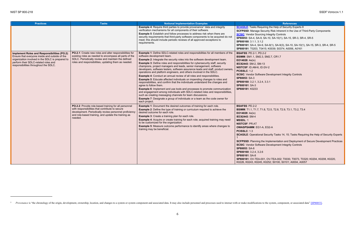<span id="page-14-0"></span>quiring the Help of Security Experts 8 **Security Risk Inherent in the Use of Third-Party Components [SCSIC](#page-30-5)**: Vendor Sourcing Integrity Controls **SP80053**: SA-4, SA-9, SA-10, SA-10(1), SA-15, SR-3, SR-4, SR-5 **SP800161**: SA-4, SA-9, SA-9(1), SA-9(3), SA-10, SA-10(1), SA-15, SR-3, SR-4, SR-5 0415; K0039; S0374; A0056, A0161  $\overline{0.2-2}$ **B.3, SM2.7, CR1.7**  $-13$ **D.GV-2** 

vare Development Integrity Controls

| <b>Practices</b>                                                                                                                                                                                                                    | <b>Tasks</b>                                                                                                                                                                                                                         | <b>Notional Implementation Examples</b>                                                                                                                                                                                                                                                                                                                                                                                                                                                                                                                                                                                                                                                                                                                                                                                                                                                                                                                                                                                                                                                                                                                 | <b>References</b>                                                                                                                                                                                                                                                                                                                                                                                                                                                                                                                                                      |
|-------------------------------------------------------------------------------------------------------------------------------------------------------------------------------------------------------------------------------------|--------------------------------------------------------------------------------------------------------------------------------------------------------------------------------------------------------------------------------------|---------------------------------------------------------------------------------------------------------------------------------------------------------------------------------------------------------------------------------------------------------------------------------------------------------------------------------------------------------------------------------------------------------------------------------------------------------------------------------------------------------------------------------------------------------------------------------------------------------------------------------------------------------------------------------------------------------------------------------------------------------------------------------------------------------------------------------------------------------------------------------------------------------------------------------------------------------------------------------------------------------------------------------------------------------------------------------------------------------------------------------------------------------|------------------------------------------------------------------------------------------------------------------------------------------------------------------------------------------------------------------------------------------------------------------------------------------------------------------------------------------------------------------------------------------------------------------------------------------------------------------------------------------------------------------------------------------------------------------------|
|                                                                                                                                                                                                                                     |                                                                                                                                                                                                                                      | <b>Example 4:</b> Require third parties to provide provenance <sup>5</sup> data and integrity<br>verification mechanisms for all components of their software.<br><b>Example 5:</b> Establish and follow processes to address risk when there are<br>security requirements that third-party software components to be acquired do not<br>meet; this should include periodic reviews of all approved exceptions to<br>requirements.                                                                                                                                                                                                                                                                                                                                                                                                                                                                                                                                                                                                                                                                                                                      | <b>SCAGILE:</b> Tasks Requiring the Help of Security Exp<br><b>SCFPSSD:</b> Manage Security Risk Inherent in the Us<br><b>SCSIC:</b> Vendor Sourcing Integrity Controls<br>SP80053: SA-4, SA-9, SA-10, SA-10(1), SA-15, SR-<br>SP800160: 3.1.1, 3.1.2<br>SP800161: SA-4, SA-9, SA-9(1), SA-9(3), SA-10, S/<br>SP800181: T0203, T0415; K0039; S0374; A0056, A                                                                                                                                                                                                           |
| Implement Roles and Responsibilities (PO.2):<br>Ensure that everyone inside and outside of the<br>organization involved in the SDLC is prepared to<br>perform their SDLC-related roles and<br>responsibilities throughout the SDLC. | PO.2.1: Create new roles and alter responsibilities for<br>existing roles as needed to encompass all parts of the<br>SDLC. Periodically review and maintain the defined<br>roles and responsibilities, updating them as needed.      | Example 1: Define SDLC-related roles and responsibilities for all members of the<br>software development team.<br><b>Example 2:</b> Integrate the security roles into the software development team.<br><b>Example 3: Define roles and responsibilities for cybersecurity staff, security</b><br>champions, project managers and leads, senior management, software<br>developers, software testers, software assurance leads and staff, product owners<br>operations and platform engineers, and others involved in the SDLC.<br><b>Example 4:</b> Conduct an annual review of all roles and responsibilities.<br><b>Example 5:</b> Educate affected individuals on impending changes to roles and<br>responsibilities, and confirm that the individuals understand the changes and<br>agree to follow them.<br><b>Example 6:</b> Implement and use tools and processes to promote communication<br>and engagement among individuals with SDLC-related roles and responsibilities,<br>such as creating messaging channels for team discussions.<br><b>Example 7:</b> Designate a group of individuals or a team as the code owner for<br>each project. | <b>BSAFSS: PD.2-1, PD.2-2</b><br><b>BSIMM: SM1.1, SM2.3, SM2.7, CR1.7</b><br>EO14028: $4e(ix)$<br>IEC62443: SM-2, SM-13<br>NISTCSF: ID.AM-6, ID.GV-2<br><b>PCISSLC: 1.2</b><br><b>SCSIC: Vendor Software Development Integrity Cor</b><br>SP80053: SA-3<br>SP800160: 3.2.1, 3.2.4, 3.3.1<br>SP800161: SA-3<br>SP800181: K0233                                                                                                                                                                                                                                          |
|                                                                                                                                                                                                                                     | PO.2.2: Provide role-based training for all personnel<br>with responsibilities that contribute to secure<br>development. Periodically review personnel proficiency<br>and role-based training, and update the training as<br>needed. | <b>Example 1:</b> Document the desired outcomes of training for each role.<br><b>Example 2:</b> Define the type of training or curriculum required to achieve the<br>desired outcome for each role.<br><b>Example 3:</b> Create a training plan for each role.<br>Example 4: Acquire or create training for each role; acquired training may need<br>to be customized for the organization.<br><b>Example 5:</b> Measure outcome performance to identify areas where changes to<br>training may be beneficial.                                                                                                                                                                                                                                                                                                                                                                                                                                                                                                                                                                                                                                          | <b>BSAFSS: PD.2-2</b><br>BSIMM: T1.1, T1.7, T1.8, T2.5, T2.8, T2.9, T3.1, T3<br>EO14028: 4e(ix)<br>IEC62443: SM-4<br><b>MSSDL: 1</b><br><b>NISTCSF: PR.AT</b><br><b>OWASPSAMM: EG1-A, EG2-A</b><br><b>PCISSLC: 1.3</b><br><b>SCAGILE: Operational Security Tasks 14, 15; Tasks</b><br><b>SCFPSSD:</b> Planning the Implementation and Deploy<br><b>SCSIC:</b> Vendor Software Development Integrity Con<br>SP80053: SA-8<br>SP800160: 3.2.4, 3.2.6<br>SP800161: SA-8<br>SP800181: OV-TEA-001, OV-TEA-002; T0030, T00<br>K0226, K0243, K0245, K0252; S0100, S0101; A000 |

**BSIMM**: T1.1, T1.7, T1.8, T2.5, T2.8, T2.9, T3.1, T3.2, T3.4

#### **-A, EG2-A**

al Security Tasks 14, 15; Tasks Requiring the Help of Security Experts

the Implementation and Deployment of Secure Development Practices **Rare Development Integrity Controls** 

001, OV-TEA-002; T0030, T0073, T0320; K0204, K0208, K0220, 5, K0252; S0100, S0101; A0004, A0057

<sup>&</sup>lt;sup>5</sup> Provenance is "the chronology of the origin, development, ownership, location, and changes to a system or system component and associated data. It may also include personnel and processes used to interact with or make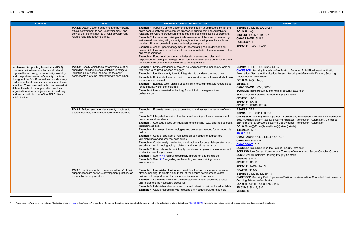<span id="page-15-0"></span>

<span id="page-15-1"></span>

| <b>Practices</b>                                                                                                                                                                                                                                                                                                                                                                                                                                                                                                          | <b>Tasks</b>                                                                                                                                                                                                | <b>Notional Implementation Examples</b>                                                                                                                                                                                                                                                                                                                                                                                                                                                                                                                                                                                                                                                                                                                                                                                                                                                                                                                                                                                                                 | <b>References</b>                                                                                                                                                                                                                                                                                                                                                                                                                                                                                                                                                                                                                                                                                       |
|---------------------------------------------------------------------------------------------------------------------------------------------------------------------------------------------------------------------------------------------------------------------------------------------------------------------------------------------------------------------------------------------------------------------------------------------------------------------------------------------------------------------------|-------------------------------------------------------------------------------------------------------------------------------------------------------------------------------------------------------------|---------------------------------------------------------------------------------------------------------------------------------------------------------------------------------------------------------------------------------------------------------------------------------------------------------------------------------------------------------------------------------------------------------------------------------------------------------------------------------------------------------------------------------------------------------------------------------------------------------------------------------------------------------------------------------------------------------------------------------------------------------------------------------------------------------------------------------------------------------------------------------------------------------------------------------------------------------------------------------------------------------------------------------------------------------|---------------------------------------------------------------------------------------------------------------------------------------------------------------------------------------------------------------------------------------------------------------------------------------------------------------------------------------------------------------------------------------------------------------------------------------------------------------------------------------------------------------------------------------------------------------------------------------------------------------------------------------------------------------------------------------------------------|
|                                                                                                                                                                                                                                                                                                                                                                                                                                                                                                                           | PO.2.3: Obtain upper management or authorizing<br>official commitment to secure development, and<br>convey that commitment to all with development-<br>related roles and responsibilities.                  | <b>Example 1:</b> Appoint a single leader or leadership team to be responsible for the<br>entire secure software development process, including being accountable for<br>releasing software to production and delegating responsibilities as appropriate.<br><b>Example 2:</b> Increase authorizing officials' awareness of the risks of developing<br>software without integrating security throughout the development life cycle and<br>the risk mitigation provided by secure development practices.<br><b>Example 3: Assist upper management in incorporating secure development</b><br>support into their communications with personnel with development-related roles<br>and responsibilities.<br><b>Example 4:</b> Educate all personnel with development-related roles and<br>responsibilities on upper management's commitment to secure development and<br>the importance of secure development to the organization.                                                                                                                          | <b>BSIMM: SM1.3, SM2.7, CP2.5</b><br>EO14028: 4e(ix)<br>NISTCSF: ID.RM-1, ID.SC-1<br><b>OWASPSAMM: SM1.A</b><br><b>PCISSLC: 1.1</b><br>SP800181: T0001, T0004                                                                                                                                                                                                                                                                                                                                                                                                                                                                                                                                           |
| <b>Implement Supporting Toolchains (PO.3):</b><br>Use automation to reduce human effort and<br>improve the accuracy, reproducibility, usability,<br>and comprehensiveness of security practices<br>throughout the SDLC, as well as provide a way<br>to document and demonstrate the use of these<br>practices. Toolchains and tools may be used at<br>different levels of the organization, such as<br>organization-wide or project-specific, and may<br>address a particular part of the SDLC, like a<br>build pipeline. | PO.3.1: Specify which tools or tool types must or<br>should be included in each toolchain to mitigate<br>identified risks, as well as how the toolchain<br>components are to be integrated with each other. | <b>Example 1:</b> Define categories of toolchains, and specify the mandatory tools or<br>tool types to be used for each category.<br><b>Example 2:</b> Identify security tools to integrate into the developer toolchain.<br>Example 3: Define what information is to be passed between tools and what data<br>formats are to be used.<br><b>Example 4:</b> Evaluate tools' signing capabilities to create immutable records/logs<br>for auditability within the toolchain.<br><b>Example 5:</b> Use automated technology for toolchain management and<br>orchestration.                                                                                                                                                                                                                                                                                                                                                                                                                                                                                | <b>BSIMM: CR1.4, ST1.4, ST2.5, SE2.7</b><br><b>CNCFSSCP:</b> Securing Materials-Verification; Security<br>Automation, Secure Authentication/Access; Securing<br>Deployments-Verification<br>EO14028: 4e(iii), 4e(ix)<br><b>MSSDL: 8</b><br><b>OWASPSAMM: IR2-B, ST2-B</b><br><b>SCAGILE:</b> Tasks Requiring the Help of Security Exp<br><b>SCSIC:</b> Vendor Software Delivery Integrity Controls<br>SP80053: SA-15<br>SP800161: SA-15<br>SP800181: K0013, K0178                                                                                                                                                                                                                                       |
|                                                                                                                                                                                                                                                                                                                                                                                                                                                                                                                           | PO.3.2: Follow recommended security practices to<br>deploy, operate, and maintain tools and toolchains.                                                                                                     | <b>Example 1:</b> Evaluate, select, and acquire tools, and assess the security of each<br>tool.<br><b>Example 2:</b> Integrate tools with other tools and existing software development<br>processes and workflows.<br><b>Example 3:</b> Use code-based configuration for toolchains (e.g., pipelines-as-code,<br>toolchains-as-code).<br><b>Example 4:</b> Implement the technologies and processes needed for reproducible<br>builds.<br><b>Example 5:</b> Update, upgrade, or replace tools as needed to address tool<br>vulnerabilities or add new tool capabilities.<br><b>Example 6:</b> Continuously monitor tools and tool logs for potential operational and<br>security issues, including policy violations and anomalous behavior.<br><b>Example 7:</b> Regularly verify the integrity and check the provenance of each tool<br>to identify potential problems.<br><b>Example 8:</b> See PW.6 regarding compiler, interpreter, and build tools.<br><b>Example 9:</b> See PO.5 regarding implementing and maintaining secure<br>environments. | <b>BSAFSS: DE.2</b><br><b>BSIMM: SR1.1, SR1.3, SR3.4</b><br><b>CNCFSSCP:</b> Securing Build Pipelines-Verification,<br>Secure Authentication/Access; Securing Artefacts-<br>Environments, Encryption; Securing Deployments-<br><b>EO14028</b> : $4e(i)(F)$ , $4e(ii)$ , $4e(iii)$ , $4e(v)$ , $4e(vi)$ , $4e(ix)$<br>IEC62443: SM-7<br>IR8397: 2.2<br><b>OWASPASVS: 1.14.3, 1.14.4, 14.1, 14.2</b><br><b>OWASPMASVS: 7.9</b><br><b>OWASPSCVS: 3, 5</b><br><b>SCAGILE:</b> Tasks Requiring the Help of Security Exp<br><b>SCFPSSD:</b> Use Current Compiler and Toolchain Ve<br><b>SCSIC:</b> Vendor Software Delivery Integrity Controls<br>SP80053: SA-15<br>SP800161: SA-15<br>SP800181: K0013, K0178 |
|                                                                                                                                                                                                                                                                                                                                                                                                                                                                                                                           | PO.3.3: Configure tools to generate artifacts <sup>6</sup> of their<br>support of secure software development practices as<br>defined by the organization.                                                  | <b>Example 1:</b> Use existing tooling (e.g., workflow tracking, issue tracking, value<br>stream mapping) to create an audit trail of the secure development-related<br>actions that are performed for continuous improvement purposes.<br><b>Example 2:</b> Determine how often the collected information should be audited,<br>and implement the necessary processes.<br><b>Example 3:</b> Establish and enforce security and retention policies for artifact data.<br><b>Example 4: Assign responsibility for creating any needed artifacts that tools</b>                                                                                                                                                                                                                                                                                                                                                                                                                                                                                           | <b>BSAFSS: PD.1-5</b><br><b>BSIMM: SM1.4, SM3.4, SR1.3</b><br><b>CNCFSSCP:</b> Securing Build Pipelines-Verification,<br>Securing Artefacts-Verification<br><b>EO14028</b> : $4e(i)(F)$ , $4e(ii)$ , $4e(v)$ , $4e(ix)$<br>IEC62443: SM-12, SI-2<br><b>MSSDL: 8</b>                                                                                                                                                                                                                                                                                                                                                                                                                                     |

<sup>&</sup>lt;sup>6</sup> An artifact is "a piece of evidence" [adapted fro[m IR7692\]](#page-28-9). Evidence is "grounds for belief or disbelief; data on which to base proof or to establish truth or falsehood" [\[SP800160\].](#page-30-3) Artifacts provide records of secure

**[CNCFSSCP](#page-28-7)**: Securing Materials—Verification; Securing Build Pipelines—Verification, Automation, Secure Authentication/Access; Securing Artefacts—Verification; Securing ation

> 8, ST2-B quiring the Help of Security Experts 9 vare Delivery Integrity Controls

**3, SR3.4** g Build Pipelines—Verification, Automation, Controlled Environments,  $\bar{\rm v}$ Access; Securing Artefacts—Verification, Automation, Controlled otion; Securing Deployments—Verification, Automation e(ii), 4e(iii), 4e(v), 4e(vi), 4e(ix)

quiring the Help of Security Experts 9 ent Compiler and Toolchain Versions and Secure Compiler Options **Rare Delivery Integrity Controls** 

**A, SR1.3** g Build Pipelines—Verification, Automation, Controlled Environments; <del>.</del><br>Verification e(ii), 4e(v), 4e(ix)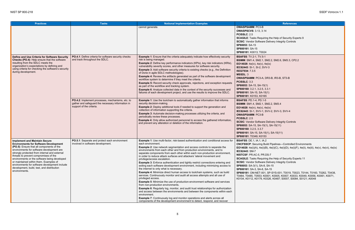quiring the Help of Security Experts 9 vare Delivery Integrity Controls

 $\overline{.5-1}$ **BSIMM**: SM1.4, SM2.1, SM2.2, SM2.6, SM3.3, CP2.2 **v**), 4e(ix) **IEC SIV-3** 

**g** Build Pipelines—Controlled Environments **EO14028**: 4e(i)(A), 4e(i)(B), 4e(i)(C), 4e(i)(D), 4e(i)(F), 4e(ii), 4e(iii), 4e(v), 4e(vi), 4e(ix)

**PR.DS-7** quiring the Help of Security Experts 11 vare Delivery Integrity Controls **SP80053**: SA-3(1), SA-8, SA-15 **SP800161**: SA-3, SA-8, SA-15 **SP800181**: OM-NET-001, SP-SYS-001; T0019, T0023, T0144, T0160, T0262, T0438, 3; K0001, K0005, K0007, K0033, K0049, K0056, K0061, K0071, 9, K0326, K0487; S0007, S0084, S0121; A0048

<span id="page-16-0"></span>

| <b>Practices</b>                                                                                                                                                                                                                                                                                                                                                                                                                                                                   | <b>Tasks</b>                                                                                                                      | <b>Notional Implementation Examples</b>                                                                                                                                                                                                                                                                                                                                                                                                                                                                                                                                                                                                                                                                                                                                                                                                                                                                                                                                                                                                                                                                                                                                                                                                                                                                                                                                  | <b>References</b>                                                                                                                                                                                                                                                                                                                                                                                                                                                                                                                                 |
|------------------------------------------------------------------------------------------------------------------------------------------------------------------------------------------------------------------------------------------------------------------------------------------------------------------------------------------------------------------------------------------------------------------------------------------------------------------------------------|-----------------------------------------------------------------------------------------------------------------------------------|--------------------------------------------------------------------------------------------------------------------------------------------------------------------------------------------------------------------------------------------------------------------------------------------------------------------------------------------------------------------------------------------------------------------------------------------------------------------------------------------------------------------------------------------------------------------------------------------------------------------------------------------------------------------------------------------------------------------------------------------------------------------------------------------------------------------------------------------------------------------------------------------------------------------------------------------------------------------------------------------------------------------------------------------------------------------------------------------------------------------------------------------------------------------------------------------------------------------------------------------------------------------------------------------------------------------------------------------------------------------------|---------------------------------------------------------------------------------------------------------------------------------------------------------------------------------------------------------------------------------------------------------------------------------------------------------------------------------------------------------------------------------------------------------------------------------------------------------------------------------------------------------------------------------------------------|
|                                                                                                                                                                                                                                                                                                                                                                                                                                                                                    |                                                                                                                                   | cannot generate.                                                                                                                                                                                                                                                                                                                                                                                                                                                                                                                                                                                                                                                                                                                                                                                                                                                                                                                                                                                                                                                                                                                                                                                                                                                                                                                                                         | <b>OWASPSAMM: PC3-B</b><br><b>OWASPSCVS: 3.13, 3.14</b><br><b>PCISSLC: 2.5</b><br><b>SCAGILE:</b> Tasks Requiring the Help of Security Exp<br><b>SCSIC:</b> Vendor Software Delivery Integrity Controls<br>SP80053: SA-15<br>SP800161: SA-15<br>SP800181: K0013; T0024                                                                                                                                                                                                                                                                            |
| Define and Use Criteria for Software Security<br>Checks (PO.4): Help ensure that the software<br>resulting from the SDLC meets the<br>organization's expectations by defining and<br>using criteria for checking the software's security<br>during development.                                                                                                                                                                                                                    | PO.4.1: Define criteria for software security checks<br>and track throughout the SDLC.                                            | <b>Example 1:</b> Ensure that the criteria adequately indicate how effectively security<br>risk is being managed.<br>Example 2: Define key performance indicators (KPIs), key risk indicators (KRIs),<br>vulnerability severity scores, and other measures for software security.<br>Example 3: Add software security criteria to existing checks (e.g., the Definition<br>of Done in agile SDLC methodologies).<br><b>Example 4:</b> Review the artifacts generated as part of the software development<br>workflow system to determine if they meet the criteria.<br><b>Example 5:</b> Record security check approvals, rejections, and exception requests<br>as part of the workflow and tracking system.<br>Example 6: Analyze collected data in the context of the security successes and<br>failures of each development project, and use the results to improve the SDLC.                                                                                                                                                                                                                                                                                                                                                                                                                                                                                         | <b>BSAFSS: TV.2-1, TV.5-1</b><br>BSIMM: SM1.4, SM2.1, SM2.2, SM2.6, SM3.3, CP2<br>EO14028: $4e(iv)$ , $4e(v)$ , $4e(ix)$<br><b>IEC62443: SI-1, SI-2, SVV-3</b><br>ISO27034: 7.3.5<br><b>MSSDL: 3</b><br>OWASPSAMM: PC3-A, DR3-B, IR3-B, ST3-B<br>PCISSLC: 3.3<br>SP80053: SA-15, SA-15(1)<br>SP800160: 3.2.1, 3.2.5, 3.3.1<br>SP800161: SA-15, SA-15(1)<br>SP800181: K0153, K0165                                                                                                                                                                 |
|                                                                                                                                                                                                                                                                                                                                                                                                                                                                                    | PO.4.2: Implement processes, mechanisms, etc. to<br>gather and safeguard the necessary information in<br>support of the criteria. | <b>Example 1:</b> Use the toolchain to automatically gather information that informs<br>security decision-making.<br><b>Example 2:</b> Deploy additional tools if needed to support the generation and<br>collection of information supporting the criteria.<br><b>Example 3:</b> Automate decision-making processes utilizing the criteria, and<br>periodically review these processes.<br><b>Example 4:</b> Only allow authorized personnel to access the gathered information,<br>and prevent any alteration or deletion of the information.                                                                                                                                                                                                                                                                                                                                                                                                                                                                                                                                                                                                                                                                                                                                                                                                                          | <b>BSAFSS: PD.1-4, PD.1-5</b><br><b>BSIMM: SM1.4, SM2.1, SM2.2, SM3.4</b><br>EO14028: $4e(iv)$ , $4e(v)$ , $4e(ix)$<br>IEC62443: SI-1, SVV-1, SVV-2, SVV-3, SVV-4<br><b>OWASPSAMM: PC3-B</b><br><b>PCISSLC: 2.5</b><br><b>SCSIC:</b> Vendor Software Delivery Integrity Controls<br>SP80053: SA-15, SA-15(1), SA-15(11)<br>SP800160: 3.2.5, 3.3.7<br>SP800161: SA-15, SA-15(1), SA-15(11)<br>SP800181: T0349; K0153                                                                                                                               |
| <b>Implement and Maintain Secure</b><br><b>Environments for Software Development</b><br>(PO.5): Ensure that all components of the<br>environments for software development are<br>strongly protected from internal and external<br>threats to prevent compromises of the<br>environments or the software being developed<br>or maintained within them. Examples of<br>environments for software development include<br>development, build, test, and distribution<br>environments. | PO.5.1: Separate and protect each environment<br>involved in software development.                                                | <b>Example 1:</b> Use multi-factor, risk-based authentication and conditional access for<br>each environment.<br><b>Example 2:</b> Use network segmentation and access controls to separate the<br>environments from each other and from production environments, and to<br>separate components from each other within each non-production environment,<br>in order to reduce attack surfaces and attackers' lateral movement and<br>privilege/access escalation.<br><b>Example 3:</b> Enforce authentication and tightly restrict connections entering and<br>exiting each software development environment, including minimizing access to<br>the internet to only what is necessary.<br><b>Example 4:</b> Minimize direct human access to toolchain systems, such as build<br>services. Continuously monitor and audit all access attempts and all use of<br>privileged access.<br><b>Example 5:</b> Minimize the use of production-environment software and services<br>from non-production environments.<br><b>Example 6: Regularly log, monitor, and audit trust relationships for authorization</b><br>and access between the environments and between the components within each<br>environment.<br><b>Example 7:</b> Continuously log and monitor operations and alerts across all<br>components of the development environment to detect, respond, and recover | <b>BSAFSS: DE.1, IA.1, IA.2</b><br><b>CNCFSSCP:</b> Securing Build Pipelines-Controlled E<br>EO14028: 4e(i)(A), 4e(i)(B), 4e(i)(C), 4e(i)(D), 4e(i)(I<br>IEC62443: SM-7<br>NISTCSF: PR.AC-5, PR.DS-7<br><b>SCAGILE:</b> Tasks Requiring the Help of Security Exp<br><b>SCSIC:</b> Vendor Software Delivery Integrity Controls<br>SP80053: SA-3(1), SA-8, SA-15<br>SP800161: SA-3, SA-8, SA-15<br>SP800181: OM-NET-001, SP-SYS-001; T0019, T00<br>T0484, T0485, T0553; K0001, K0005, K0007, K003<br>K0104, K0112, K0179, K0326, K0487; S0007, S008 |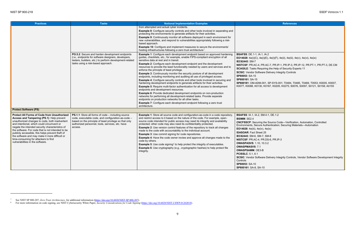| <b>Practices</b>                                                                                                                                                                                                                                                                                                                                                                                                                                                                          | <b>Tasks</b>                                                                                                                                                                                                                      | <b>Notional Implementation Examples</b>                                                                                                                                                                                                                                                                                                                                                                                                                                                                                                                                                                                                                                                                                                                                                                                                                                                                                                                                                                                                                                                                                                                                                                                 | <b>References</b>                                                                                                                                                                                                                                                                                                                                                                                                                                                                                                                                                 |
|-------------------------------------------------------------------------------------------------------------------------------------------------------------------------------------------------------------------------------------------------------------------------------------------------------------------------------------------------------------------------------------------------------------------------------------------------------------------------------------------|-----------------------------------------------------------------------------------------------------------------------------------------------------------------------------------------------------------------------------------|-------------------------------------------------------------------------------------------------------------------------------------------------------------------------------------------------------------------------------------------------------------------------------------------------------------------------------------------------------------------------------------------------------------------------------------------------------------------------------------------------------------------------------------------------------------------------------------------------------------------------------------------------------------------------------------------------------------------------------------------------------------------------------------------------------------------------------------------------------------------------------------------------------------------------------------------------------------------------------------------------------------------------------------------------------------------------------------------------------------------------------------------------------------------------------------------------------------------------|-------------------------------------------------------------------------------------------------------------------------------------------------------------------------------------------------------------------------------------------------------------------------------------------------------------------------------------------------------------------------------------------------------------------------------------------------------------------------------------------------------------------------------------------------------------------|
|                                                                                                                                                                                                                                                                                                                                                                                                                                                                                           |                                                                                                                                                                                                                                   | from attempted and actual cyber incidents.<br><b>Example 8:</b> Configure security controls and other tools involved in separating and<br>protecting the environments to generate artifacts for their activities.<br><b>Example 9:</b> Continuously monitor all software deployed in each environment for<br>new vulnerabilities, and respond to vulnerabilities appropriately following a risk-<br>based approach.<br><b>Example 10:</b> Configure and implement measures to secure the environments'<br>hosting infrastructures following a zero trust architecture <sup>7</sup> .                                                                                                                                                                                                                                                                                                                                                                                                                                                                                                                                                                                                                                    |                                                                                                                                                                                                                                                                                                                                                                                                                                                                                                                                                                   |
|                                                                                                                                                                                                                                                                                                                                                                                                                                                                                           | PO.5.2: Secure and harden development endpoints<br>(i.e., endpoints for software designers, developers,<br>testers, builders, etc.) to perform development-related<br>tasks using a risk-based approach.                          | <b>Example 1:</b> Configure each development endpoint based on approved hardening<br>guides, checklists, etc.; for example, enable FIPS-compliant encryption of all<br>sensitive data at rest and in transit.<br><b>Example 2:</b> Configure each development endpoint and the development<br>resources to provide the least functionality needed by users and services and to<br>enforce the principle of least privilege.<br><b>Example 3:</b> Continuously monitor the security posture of all development<br>endpoints, including monitoring and auditing all use of privileged access.<br><b>Example 4:</b> Configure security controls and other tools involved in securing and<br>hardening development endpoints to generate artifacts for their activities.<br><b>Example 5:</b> Require multi-factor authentication for all access to development<br>endpoints and development resources.<br><b>Example 6:</b> Provide dedicated development endpoints on non-production<br>networks for performing all development-related tasks. Provide separate<br>endpoints on production networks for all other tasks.<br><b>Example 7:</b> Configure each development endpoint following a zero trust<br>architecture. | <b>BSAFSS: DE.1-1, IA.1, IA.2</b><br>EO14028: 4e(i)(C), 4e(i)(E), 4e(i)(F), 4e(ii), 4e(iii), 4e<br>IEC62443: SM-7<br>NISTCSF: PR.AC-4, PR.AC-7, PR.IP-1, PR.IP-3, PF<br><b>SCAGILE:</b> Tasks Requiring the Help of Security Exp<br><b>SCSIC:</b> Vendor Software Delivery Integrity Controls<br>SP80053: SA-15<br>SP800161: SA-15<br>SP800181: OM-ADM-001, SP-SYS-001; T0484, T04<br>K0077, K0088, K0130, K0167, K0205, K0275; S007                                                                                                                              |
| <b>Protect Software (PS)</b>                                                                                                                                                                                                                                                                                                                                                                                                                                                              |                                                                                                                                                                                                                                   |                                                                                                                                                                                                                                                                                                                                                                                                                                                                                                                                                                                                                                                                                                                                                                                                                                                                                                                                                                                                                                                                                                                                                                                                                         |                                                                                                                                                                                                                                                                                                                                                                                                                                                                                                                                                                   |
| <b>Protect All Forms of Code from Unauthorized</b><br>Access and Tampering (PS.1): Help prevent<br>unauthorized changes to code, both inadvertent<br>and intentional, which could circumvent or<br>negate the intended security characteristics of<br>the software. For code that is not intended to be<br>publicly accessible, this helps prevent theft of<br>the software and may make it more difficult or<br>time-consuming for attackers to find<br>vulnerabilities in the software. | PS.1.1: Store all forms of code - including source<br>code, executable code, and configuration-as-code -<br>based on the principle of least privilege so that only<br>authorized personnel, tools, services, etc. have<br>access. | <b>Example 1:</b> Store all source code and configuration-as-code in a code repository,<br>and restrict access to it based on the nature of the code. For example, open-<br>source code intended for public access may need its integrity and availability<br>protected; other code may also need its confidentiality protected.<br><b>Example 2:</b> Use version control features of the repository to track all changes<br>made to the code with accountability to the individual account.<br><b>Example 3:</b> Use commit signing for code repositories.<br><b>Example 4:</b> Have the code owner review and approve all changes made to the<br>code by others.<br><b>Example 5:</b> Use code signing <sup>8</sup> to help protect the integrity of executables.<br><b>Example 6:</b> Use cryptography (e.g., cryptographic hashes) to help protect file<br>integrity.                                                                                                                                                                                                                                                                                                                                               | <b>BSAFSS: IA.1, IA.2, SM.4-1, DE.1-2</b><br><b>BSIMM: SE2.4</b><br><b>CNCFSSCP:</b> Securing the Source Code-Verification<br>Environments, Secure Authentication; Securing Mate<br>EO14028: 4e(iii), 4e(iv), 4e(ix)<br><b>IDASOAR: Fact Sheet 25</b><br>IEC62443: SM-6, SM-7, SM-8<br>NISTCSF: PR.AC-4, PR.DS-6, PR.IP-3<br><b>OWASPASVS: 1.10, 10.3.2</b><br><b>OWASPMASVS: 7.1</b><br><b>OWASPSAMM: OE3-B</b><br><b>PCISSLC: 5.1, 6.1</b><br><b>SCSIC:</b> Vendor Software Delivery Integrity Controls,<br>Controls<br>SP80053: SA-10<br>SP800161: SA-8, SA-10 |

<span id="page-17-1"></span><span id="page-17-0"></span>

<sup>7</sup> See NIST SP 800-207, *Zero Trust Architecture*, for additional information (https://doi.org/10.6028/NIST.SP.800-207).

<sup>8</sup> For more information on code signing, see NIST Cybersecurity White Paper, *Security Considerations for Code Signing* (https://doi.org/10.6028/NIST.CSWP.01262018).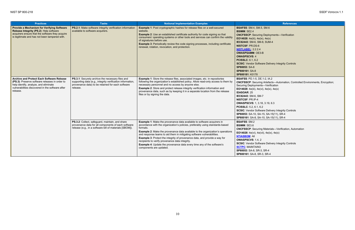**B**: 1-2, IA.2 **CNCFSSCP**: Securing Artefacts—Automation, Controlled Environments, Encryption; **E** $\mathbf{E}(\mathbf{x})$ , 4e(**x**), 4e **8, 3.19, 6.3 SCSIC**: Vendor Software Delivery Integrity Controls **SP800161**: SA-8, SA-10, SA-15(11), SR-4

g Materials—Verification, Automation **vii), 4e(ix), 4e(x)** 

| <b>Practices</b>                                                                                                                                                                                            | <b>Tasks</b>                                                                                                                                                                    | <b>Notional Implementation Examples</b>                                                                                                                                                                                                                                                                                                                                                                                                                                                                                                                                                           | <b>References</b>                                                                                                                                                                                                                                                                                                                                                                                                                                                       |
|-------------------------------------------------------------------------------------------------------------------------------------------------------------------------------------------------------------|---------------------------------------------------------------------------------------------------------------------------------------------------------------------------------|---------------------------------------------------------------------------------------------------------------------------------------------------------------------------------------------------------------------------------------------------------------------------------------------------------------------------------------------------------------------------------------------------------------------------------------------------------------------------------------------------------------------------------------------------------------------------------------------------|-------------------------------------------------------------------------------------------------------------------------------------------------------------------------------------------------------------------------------------------------------------------------------------------------------------------------------------------------------------------------------------------------------------------------------------------------------------------------|
| <b>Provide a Mechanism for Verifying Software</b><br>Release Integrity (PS.2): Help software<br>acquirers ensure that the software they acquire<br>is legitimate and has not been tampered with.            | PS.2.1: Make software integrity verification information<br>available to software acquirers.                                                                                    | <b>Example 1: Post cryptographic hashes for release files on a well-secured</b><br>website.<br><b>Example 2:</b> Use an established certificate authority for code signing so that<br>consumers' operating systems or other tools and services can confirm the validity<br>of signatures before use.<br><b>Example 3: Periodically review the code signing processes, including certificate</b><br>renewal, rotation, revocation, and protection.                                                                                                                                                 | <b>BSAFSS: SM.4, SM.5, SM.6</b><br><b>BSIMM: SE2.4</b><br><b>CNCFSSCP: Securing Deployments-Verification</b><br><b>EO14028</b> : $4e(iii)$ , $4e(ix)$ , $4e(x)$<br>IEC62443: SM-6, SM-8, SUM-4<br><b>NISTCSF: PR.DS-6</b><br><b>NISTLABEL 2.2.2.4</b><br><b>OWASPSAMM: OE3-B</b><br><b>OWASPSCVS: 4</b><br><b>PCISSLC: 6.1, 6.2</b><br><b>SCSIC:</b> Vendor Software Delivery Integrity Controls<br>SP80053: SA-8<br>SP800161: SA-8<br>SP800181: K0178                  |
| <b>Archive and Protect Each Software Release</b><br>(PS.3): Preserve software releases in order to<br>help identify, analyze, and eliminate<br>vulnerabilities discovered in the software after<br>release. | PS.3.1: Securely archive the necessary files and<br>supporting data (e.g., integrity verification information,<br>provenance data) to be retained for each software<br>release. | <b>Example 1:</b> Store the release files, associated images, etc. in repositories<br>following the organization's established policy. Allow read-only access to them by<br>necessary personnel and no access by anyone else.<br><b>Example 2:</b> Store and protect release integrity verification information and<br>provenance data, such as by keeping it in a separate location from the release<br>files or by signing the data.                                                                                                                                                            | <b>BSAFSS: PD.1-5, DE.1-2, IA.2</b><br><b>CNCFSSCP:</b> Securing Artefacts-Automation, Cont<br>Securing Deployments-Verification<br>EO14028: 4e(iii), 4e(vi), 4e(ix), 4e(x)<br><b>IDASOAR: 25</b><br>IEC62443: SM-6, SM-7<br><b>NISTCSF: PR.IP-4</b><br><b>OWASPSCVS: 1, 3.18, 3.19, 6.3</b><br>PCISSLC: 5.2, 6.1, 6.2<br><b>SCSIC:</b> Vendor Software Delivery Integrity Controls<br>SP80053: SA-10, SA-15, SA-15(11), SR-4<br>SP800161: SA-8, SA-10, SA-15(11), SR-4 |
|                                                                                                                                                                                                             | PS.3.2: Collect, safeguard, maintain, and share<br>provenance data for all components of each software<br>release (e.g., in a software bill of materials [SBOM]).               | <b>Example 1:</b> Make the provenance data available to software acquirers in<br>accordance with the organization's policies, preferably using standards-based<br>formats.<br><b>Example 2:</b> Make the provenance data available to the organization's operations<br>and response teams to aid them in mitigating software vulnerabilities.<br><b>Example 3:</b> Protect the integrity of provenance data, and provide a way for<br>recipients to verify provenance data integrity.<br><b>Example 4:</b> Update the provenance data every time any of the software's<br>components are updated. | <b>BSAFSS: SM.2</b><br><b>BSIMM: SE3.6</b><br><b>CNCFSSCP:</b> Securing Materials-Verification, Autor<br>EO14028: $4e(vi)$ , $4e(vii)$ , $4e(ix)$ , $4e(x)$<br><b>NTIASBOM: All</b><br><b>OWASPSCVS: 1.4, 2</b><br><b>SCSIC:</b> Vendor Software Delivery Integrity Controls<br><b>SCTPC MAINTAIN3</b><br>SP80053: SA-8, SR-3, SR-4<br>SP800161: SA-8, SR-3, SR-4                                                                                                       |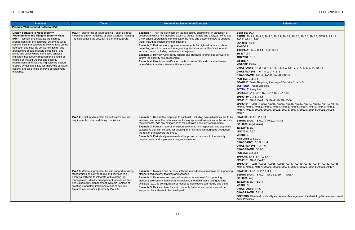<span id="page-19-0"></span>

| <b>Practices</b>                                                                                                                                                                                                                                                                                                                                                                                                                                                                                                                                                                                                                                                | <b>Tasks</b>                                                                                                                                                                                                                                                                                                                                                            | <b>Notional Implementation Examples</b>                                                                                                                                                                                                                                                                                                                                                                                                                                                                                                                                                                                                                                                                                                                                                                     | <b>References</b>                                                                                                                                                                                                                                                                                                                                                                                                                                                                                                                                                                                                                                                                                                                                                                                                                                                    |
|-----------------------------------------------------------------------------------------------------------------------------------------------------------------------------------------------------------------------------------------------------------------------------------------------------------------------------------------------------------------------------------------------------------------------------------------------------------------------------------------------------------------------------------------------------------------------------------------------------------------------------------------------------------------|-------------------------------------------------------------------------------------------------------------------------------------------------------------------------------------------------------------------------------------------------------------------------------------------------------------------------------------------------------------------------|-------------------------------------------------------------------------------------------------------------------------------------------------------------------------------------------------------------------------------------------------------------------------------------------------------------------------------------------------------------------------------------------------------------------------------------------------------------------------------------------------------------------------------------------------------------------------------------------------------------------------------------------------------------------------------------------------------------------------------------------------------------------------------------------------------------|----------------------------------------------------------------------------------------------------------------------------------------------------------------------------------------------------------------------------------------------------------------------------------------------------------------------------------------------------------------------------------------------------------------------------------------------------------------------------------------------------------------------------------------------------------------------------------------------------------------------------------------------------------------------------------------------------------------------------------------------------------------------------------------------------------------------------------------------------------------------|
| <b>Produce Well-Secured Software (PW)</b>                                                                                                                                                                                                                                                                                                                                                                                                                                                                                                                                                                                                                       |                                                                                                                                                                                                                                                                                                                                                                         |                                                                                                                                                                                                                                                                                                                                                                                                                                                                                                                                                                                                                                                                                                                                                                                                             |                                                                                                                                                                                                                                                                                                                                                                                                                                                                                                                                                                                                                                                                                                                                                                                                                                                                      |
| <b>Design Software to Meet Security</b><br><b>Requirements and Mitigate Security Risks</b><br>(PW.1): Identify and evaluate the security<br>requirements for the software; determine what<br>security risks the software is likely to face during<br>operation and how the software's design and<br>architecture should mitigate those risks; and<br>justify any cases where risk-based analysis<br>indicates that security requirements should be<br>relaxed or waived. Addressing security<br>requirements and risks during software design<br>(secure by design) is key for improving software<br>security and also helps improve development<br>efficiency. | PW.1.1: Use forms of risk modeling - such as threat<br>modeling, attack modeling, or attack surface mapping<br>- to help assess the security risk for the software.                                                                                                                                                                                                     | <b>Example 1:</b> Train the development team (security champions, in particular) or<br>collaborate with a risk modeling expert to create models and analyze how to use<br>a risk-based approach to communicate the risks and determine how to address<br>them, including implementing mitigations.<br><b>Example 2: Perform more rigorous assessments for high-risk areas, such as</b><br>protecting sensitive data and safeguarding identification, authentication, and<br>access control, including credential management.<br><b>Example 3: Review vulnerability reports and statistics for previous software to</b><br>inform the security risk assessment.<br><b>Example 4:</b> Use data classification methods to identify and characterize each<br>type of data that the software will interact with. | <b>BSAFSS: SC.1</b><br><b>BSIMM: AM1.2, AM1.3, AM1.5, AM2.1, AM2.2, AM2</b><br>AA1.2, AA1.3, AA2.1<br>EO14028: $4e(ix)$<br><b>IDASOAR: 1</b><br>IEC62443: SM-4, SR-1, SR-2, SD-1<br>IR8397: 2.1<br>ISO27034: 7.3.3<br><b>MSSDL: 4</b><br><b>NISTCSF: ID.RA</b><br><b>OWASPASVS:</b> 1.1.2, 1.2, 1.4, 1.6, 1.8, 1.9, 1.11, 2,<br><b>OWASPMASVS:</b> 1.6, 1.8, 2, 3, 4, 5, 6<br>OWASPSAMM: TA1-A, TA1-B, TA3-B, DR1-A<br><b>PCISSLC: 3.2, 3.3</b><br><b>SCAGILE:</b> Tasks Requiring the Help of Security Exp<br><b>SCFPSSD: Threat Modeling</b><br><b>SCTTM:</b> Entire guide<br>SP80053: SA-8, SA-11(2), SA-11(6), SA-15(5)<br>SP800160: 3.3.4, 3.4.5<br>SP800161: SA-8, SA-11(2), SA-11(6), SA-15(5)<br>SP800181: T0038, T0062; K0005, K0009, K0038, K<br>K0149, K0151, K0152, K0160, K0161, K0162, K016<br>K0487, K0624; S0006, S0009, S0022, S0078, S017<br>A0107 |
|                                                                                                                                                                                                                                                                                                                                                                                                                                                                                                                                                                                                                                                                 | PW.1.2: Track and maintain the software's security<br>requirements, risks, and design decisions.                                                                                                                                                                                                                                                                        | <b>Example 1:</b> Record the response to each risk, including how mitigations are to be<br>achieved and what the rationales are for any approved exceptions to the security<br>requirements. Add any mitigations to the software's security requirements.<br><b>Example 2:</b> Maintain records of design decisions, risk responses, and approved<br>exceptions that can be used for auditing and maintenance purposes throughout<br>the rest of the software life cycle.<br><b>Example 3: Periodically re-evaluate all approved exceptions to the security</b><br>requirements, and implement changes as needed.                                                                                                                                                                                           | <b>BSAFSS: SC.1-1, PD.1-1</b><br><b>BSIMM: SFD3.1, SFD3.3, AA2.2, AA3.2</b><br>EO14028: 4e(v), 4e(ix)<br>IEC62443: SD-1<br>ISO27034: 7.3.3<br><b>MSSDL: 4</b><br><b>NISTLABEL: 2.2.2.2</b><br><b>OWASPASVS: 1.1.3, 1.1.4</b><br><b>OWASPMASVS: 1.3, 1.6</b><br><b>OWASPSAMM: DR1-B</b><br><b>PCISSLC: 3.2, 3.3</b><br>SP80053: SA-8, SA-10, SA-17<br>SP800161: SA-8, SA-17<br>SP800181: T0256; K0005, K0038, K0039, K0147, K<br>K0344, K0362, K0487; S0006, S0009, S0078, S017                                                                                                                                                                                                                                                                                                                                                                                       |
|                                                                                                                                                                                                                                                                                                                                                                                                                                                                                                                                                                                                                                                                 | PW.1.3: Where appropriate, build in support for using<br>standardized security features and services (e.g.,<br>enabling software to integrate with existing log<br>management, identity management, access control,<br>and vulnerability management systems) instead of<br>creating proprietary implementations of security<br>features and services. [Formerly PW.4.3] | <b>Example 1:</b> Maintain one or more software repositories of modules for supporting<br>standardized security features and services.<br><b>Example 2:</b> Determine secure configurations for modules for supporting<br>standardized security features and services, and make these configurations<br>available (e.g., as configuration-as-code) so developers can readily use them.<br><b>Example 3:</b> Define criteria for which security features and services must be<br>supported by software to be developed.                                                                                                                                                                                                                                                                                      | <b>BSAFSS: SI.2-1, SI.2-2, LO.1</b><br><b>BSIMM: SFD1.1, SFD2.1, SFD3.2, SR1.1, SR3.4</b><br>EO14028: $4e(ix)$<br>IEC62443: SD-1, SD-4<br><b>MSSDL: 5</b><br><b>OWASPASVS: 1.1.6</b><br><b>OWASPSAMM: SA2-A</b><br><b>SCFPSSD:</b> Standardize Identity and Access Manage<br><b>Audit Practices</b>                                                                                                                                                                                                                                                                                                                                                                                                                                                                                                                                                                  |

**BSIMM**: AM1.2, AM1.3, AM1.5, AM2.1, AM2.2, AM2.5, AM2.6, AM2.7, SFD2.2, AA1.1, **IEC62443**: SM-4, SR-1, SR-2, SD-1 **OWASPASVS**: 1.1.2, 1.2, 1.4, 1.6, 1.8, 1.9, 1.11, 2, 3, 4, 6, 8, 9, 11, 12, 13 **OWASPMASVS**: 1.6, 1.8, 2, 3, 4, 5, 6 **OWASPSAMM**: TA1-A, TA1-B, TA3-B, DR1-A uiring the Help of Security Experts 3 deling 1(2), SA-11(6), SA-15(5) 11(2), SA-11(6), SA-15(5) **SP800181**: T0038, T0062; K0005, K0009, K0038, K0039, K0070, K0080, K0119, K0147, , K0160, K0161, K0162, K0165, K0297, K0310, K0344, K0362, , S0009, S0022, S0078, S0171, S0229, S0248; A0092, A0093,  $1 - 1$ **BSIMM**: SFD3.1, SFD3.3, AA2.2, AA3.2  $1.1.4$ **SA-17** 005, K0038, K0039, K0147, K0149, K0160, K0161, K0162, K0165,  $K$ 50006, S0009, S0078, S0171, S0229, S0248; A0092, A0107 **B**.2, LO.1 **BSIMM**: SFD1.1, SFD2.1, SFD3.2, SR1.1, SR3.4

ze Identity and Access Management; Establish Log Requirements and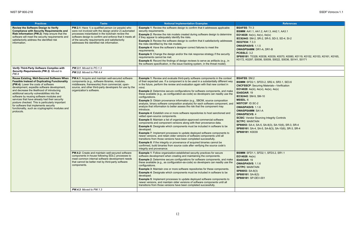**SP800181**: T0328; K0038, K0039, K0070, K0080, K0119, K0152, K0153, K0161, K0165, K0172, K0297; S0006, S0009, S0022, S0036, S0141, S0171

| <b>Practices</b>                                                                                                                                                                                                                                                                                                                                                                                                                                                                                                                                                                                   | <b>Tasks</b>                                                                                                                                                                                                                                                                                                                   | <b>Notional Implementation Examples</b>                                                                                                                                                                                                                                                                                                                                                                                                                                                                                                                                                                                                                                                                                                                                                                                                                                                                                                                                                                                                                                                                                                                                                                                                                                                                                                                                                                                                                                                                                                                              | <b>References</b>                                                                                                                                                                                                                                                                                                                                                                                                                                                                                                                                                   |
|----------------------------------------------------------------------------------------------------------------------------------------------------------------------------------------------------------------------------------------------------------------------------------------------------------------------------------------------------------------------------------------------------------------------------------------------------------------------------------------------------------------------------------------------------------------------------------------------------|--------------------------------------------------------------------------------------------------------------------------------------------------------------------------------------------------------------------------------------------------------------------------------------------------------------------------------|----------------------------------------------------------------------------------------------------------------------------------------------------------------------------------------------------------------------------------------------------------------------------------------------------------------------------------------------------------------------------------------------------------------------------------------------------------------------------------------------------------------------------------------------------------------------------------------------------------------------------------------------------------------------------------------------------------------------------------------------------------------------------------------------------------------------------------------------------------------------------------------------------------------------------------------------------------------------------------------------------------------------------------------------------------------------------------------------------------------------------------------------------------------------------------------------------------------------------------------------------------------------------------------------------------------------------------------------------------------------------------------------------------------------------------------------------------------------------------------------------------------------------------------------------------------------|---------------------------------------------------------------------------------------------------------------------------------------------------------------------------------------------------------------------------------------------------------------------------------------------------------------------------------------------------------------------------------------------------------------------------------------------------------------------------------------------------------------------------------------------------------------------|
| <b>Review the Software Design to Verify</b><br><b>Compliance with Security Requirements and</b><br>Risk Information (PW.2): Help ensure that the<br>software will meet the security requirements and<br>satisfactorily address the identified risk<br>information.                                                                                                                                                                                                                                                                                                                                 | PW.2.1: Have 1) a qualified person (or people) who<br>were not involved with the design and/or 2) automated<br>processes instantiated in the toolchain review the<br>software design to confirm and enforce that it meets all<br>of the security requirements and satisfactorily<br>addresses the identified risk information. | <b>Example 1:</b> Review the software design to confirm that it addresses applicable<br>security requirements.<br><b>Example 2:</b> Review the risk models created during software design to determine<br>if they appear to adequately identify the risks.<br><b>Example 3:</b> Review the software design to confirm that it satisfactorily addresses<br>the risks identified by the risk models.<br><b>Example 4:</b> Have the software's designer correct failures to meet the<br>requirements.<br><b>Example 5:</b> Change the design and/or the risk response strategy if the security<br>requirements cannot be met.<br><b>Example 6:</b> Record the findings of design reviews to serve as artifacts (e.g., in<br>the software specification, in the issue tracking system, in the threat model).                                                                                                                                                                                                                                                                                                                                                                                                                                                                                                                                                                                                                                                                                                                                                             | <b>BSAFSS: TV.3</b><br><b>BSIMM: AA1.1, AA1.2, AA1.3, AA2.1, AA3.1</b><br>EO14028: 4e(iv), 4e(v), 4e(ix)<br>IEC62443: SM-2, SR-2, SR-5, SD-3, SD-4, SI-2<br>ISO27034: 7.3.3<br><b>OWASPASVS: 1.1.5</b><br><b>OWASPSAMM: DR1-A, DR1-B</b><br><b>PCISSLC: 3.2</b><br>SP800181: T0328; K0038, K0039, K0070, K0080, K<br>K0172, K0297; S0006, S0009, S0022, S0036, S014                                                                                                                                                                                                 |
| Verify Third-Party Software Complies with                                                                                                                                                                                                                                                                                                                                                                                                                                                                                                                                                          | <b>PW.3.1:</b> Moved to PO.1.3                                                                                                                                                                                                                                                                                                 |                                                                                                                                                                                                                                                                                                                                                                                                                                                                                                                                                                                                                                                                                                                                                                                                                                                                                                                                                                                                                                                                                                                                                                                                                                                                                                                                                                                                                                                                                                                                                                      |                                                                                                                                                                                                                                                                                                                                                                                                                                                                                                                                                                     |
| PW.4                                                                                                                                                                                                                                                                                                                                                                                                                                                                                                                                                                                               | PW.3.2: Moved to PW.4.4                                                                                                                                                                                                                                                                                                        |                                                                                                                                                                                                                                                                                                                                                                                                                                                                                                                                                                                                                                                                                                                                                                                                                                                                                                                                                                                                                                                                                                                                                                                                                                                                                                                                                                                                                                                                                                                                                                      |                                                                                                                                                                                                                                                                                                                                                                                                                                                                                                                                                                     |
| Security Requirements (PW.3): Moved to<br><b>Reuse Existing, Well-Secured Software When</b><br><b>Feasible Instead of Duplicating Functionality</b><br>(PW.4): Lower the costs of software<br>development, expedite software development,<br>and decrease the likelihood of introducing<br>additional security vulnerabilities into the<br>software by reusing software modules and<br>services that have already had their security<br>posture checked. This is particularly important<br>for software that implements security<br>functionality, such as cryptographic modules and<br>protocols. | PW.4.1: Acquire and maintain well-secured software<br>components (e.g., software libraries, modules,<br>middleware, frameworks) from commercial, open-<br>source, and other third-party developers for use by the<br>organization's software.                                                                                  | <b>Example 1:</b> Review and evaluate third-party software components in the context<br>of their expected use. If a component is to be used in a substantially different way<br>in the future, perform the review and evaluation again with that new context in<br>mind.<br><b>Example 2:</b> Determine secure configurations for software components, and make<br>these available (e.g., as configuration-as-code) so developers can readily use the<br>configurations.<br><b>Example 3:</b> Obtain provenance information (e.g., SBOM, source composition<br>analysis, binary software composition analysis) for each software component, and<br>analyze that information to better assess the risk that the component may<br>introduce.<br><b>Example 4:</b> Establish one or more software repositories to host sanctioned and<br>vetted open-source components.<br><b>Example 5: Maintain a list of organization-approved commercial software</b><br>components and component versions along with their provenance data.<br><b>Example 6:</b> Designate which components must be included in software to be<br>developed.<br><b>Example 7:</b> Implement processes to update deployed software components to<br>newer versions, and retain older versions of software components until all<br>transitions from those versions have been completed successfully.<br><b>Example 8:</b> If the integrity or provenance of acquired binaries cannot be<br>confirmed, build binaries from source code after verifying the source code's<br>integrity and provenance. | <b>BSAFSS: SM.2</b><br><b>BSIMM: SFD2.1, SFD3.2, SR2.4, SR3.1, SE3.6</b><br><b>CNCFSSCP: Securing Materials-Verification</b><br><b>EO14028</b> : 4e(iii), 4e(vi), 4e(ix), 4e(x)<br><b>IDASOAR: 19</b><br>IEC62443: SM-9, SM-10<br><b>MSSDL: 6</b><br><b>NISTCSF: ID.SC-2</b><br><b>OWASPASVS: 1.1.6</b><br><b>OWASPSAMM: SA1-A</b><br><b>OWASPSCVS: 4</b><br><b>SCSIC: Vendor Sourcing Integrity Controls</b><br><b>SCTPC: MAINTAIN</b><br>SP80053: SA-4, SA-5, SA-8(3), SA-10(6), SR-3, SR<br>SP800161: SA-4, SA-5, SA-8(3), SA-10(6), SR-3, SI<br>SP800181: K0039 |
|                                                                                                                                                                                                                                                                                                                                                                                                                                                                                                                                                                                                    | <b>PW.4.2:</b> Create and maintain well-secured software<br>components in-house following SDLC processes to<br>meet common internal software development needs<br>that cannot be better met by third-party software<br>components.<br><b>PW.4.3:</b> Moved to PW.1.3                                                           | <b>Example 1:</b> Follow organization-established security practices for secure<br>software development when creating and maintaining the components.<br><b>Example 2:</b> Determine secure configurations for software components, and make<br>these available (e.g., as configuration-as-code) so developers can readily use the<br>configurations.<br><b>Example 3:</b> Maintain one or more software repositories for these components.<br><b>Example 4:</b> Designate which components must be included in software to be<br>developed.<br><b>Example 5:</b> Implement processes to update deployed software components to<br>newer versions, and maintain older versions of software components until all<br>transitions from those versions have been completed successfully.                                                                                                                                                                                                                                                                                                                                                                                                                                                                                                                                                                                                                                                                                                                                                                                 | <b>BSIMM: SFD1.1, SFD2.1, SFD3.2, SR1.1</b><br>EO14028: $4e(ix)$<br><b>IDASOAR: 19</b><br><b>OWASPASVS: 1.1.6</b><br><b>SCTPC: MAINTAIN</b><br><b>SP80053: SA-8(3)</b><br>SP800161: SA-8(3)<br>SP800181: SP-DEV-001                                                                                                                                                                                                                                                                                                                                                 |
|                                                                                                                                                                                                                                                                                                                                                                                                                                                                                                                                                                                                    |                                                                                                                                                                                                                                                                                                                                |                                                                                                                                                                                                                                                                                                                                                                                                                                                                                                                                                                                                                                                                                                                                                                                                                                                                                                                                                                                                                                                                                                                                                                                                                                                                                                                                                                                                                                                                                                                                                                      |                                                                                                                                                                                                                                                                                                                                                                                                                                                                                                                                                                     |

**SP80053**: SA-4, SA-5, SA-8(3), SA-10(6), SR-3, SR-4 **SP800161**: SA-4, SA-5, SA-8(3), SA-10(6), SR-3, SR-4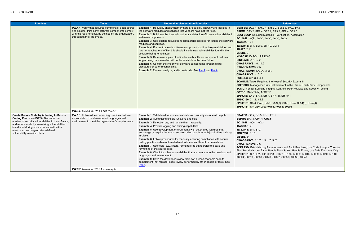```
BSAFSS: SC.3-1, SM.2-1, SM.2-2, SM.2-3, TV.2, TV.3
BSIMM: CP3.2, SR2.4, SR3.1, SR3.2, SE2.4, SE3.6
g Materials—Verification, Automation
v), 4e(vi), 4e(ix), 4e(x)
```

```
R.DS-6
```
**A, SR3-B** quiring the Help of Security Experts 8 **Security Risk Inherent in the Use of Third-Party Components Scape Integrity Controls, Peer Reviews and Security Testing**  $ASSESS$ , SR-4, SR-4(3), SR-4(4) **SP800161**: SA-4, SA-8, SA-9, SA-9(3), SR-3, SR-4, SR-4(3), SR-4(4) **SP800181**: SP-DEV-002; K0153, K0266; S0298

Log Requirements and Audit Practices, Use Code Analysis Tools to Early, Handle Data Safely, Handle Errors, Use Safe Functions Only **SP800181**: SP-DEV-001; T0013, T0077, T0176; K0009, K0016, K0039, K0070, K0140, K0624; S0019, S0060, S0149, S0172, S0266**;** A0036, A0047

| <b>Practices</b>                                                                                                                                                                                                                                                                                                            | <b>Tasks</b>                                                                                                                                                                                             | <b>Notional Implementation Examples</b>                                                                                                                                                                                                                                                                                                                                                                                                                                                                                                                                                                                                                                                                                                                                                                                                                                                                                                                                                                                                                     | <b>References</b>                                                                                                                                                                                                                                                                                                                                                                                                                                                                                                                                                                                                                                                                                                                                                                                                                                                                                                                               |
|-----------------------------------------------------------------------------------------------------------------------------------------------------------------------------------------------------------------------------------------------------------------------------------------------------------------------------|----------------------------------------------------------------------------------------------------------------------------------------------------------------------------------------------------------|-------------------------------------------------------------------------------------------------------------------------------------------------------------------------------------------------------------------------------------------------------------------------------------------------------------------------------------------------------------------------------------------------------------------------------------------------------------------------------------------------------------------------------------------------------------------------------------------------------------------------------------------------------------------------------------------------------------------------------------------------------------------------------------------------------------------------------------------------------------------------------------------------------------------------------------------------------------------------------------------------------------------------------------------------------------|-------------------------------------------------------------------------------------------------------------------------------------------------------------------------------------------------------------------------------------------------------------------------------------------------------------------------------------------------------------------------------------------------------------------------------------------------------------------------------------------------------------------------------------------------------------------------------------------------------------------------------------------------------------------------------------------------------------------------------------------------------------------------------------------------------------------------------------------------------------------------------------------------------------------------------------------------|
|                                                                                                                                                                                                                                                                                                                             | PW.4.4: Verify that acquired commercial, open-source,<br>and all other third-party software components comply<br>with the requirements, as defined by the organization,<br>throughout their life cycles. | <b>Example 1:</b> Regularly check whether there are publicly known vulnerabilities in<br>the software modules and services that vendors have not yet fixed.<br><b>Example 2:</b> Build into the toolchain automatic detection of known vulnerabilities in<br>software components.<br><b>Example 3:</b> Use existing results from commercial services for vetting the software<br>modules and services.<br><b>Example 4:</b> Ensure that each software component is still actively maintained and<br>has not reached end of life; this should include new vulnerabilities found in the<br>software being remediated.<br><b>Example 5:</b> Determine a plan of action for each software component that is no<br>longer being maintained or will not be available in the near future.<br><b>Example 6:</b> Confirm the integrity of software components through digital<br>signatures or other mechanisms.<br><b>Example 7:</b> Review, analyze, and/or test code. See PW.7 and PW.8.                                                                          | <b>BSAFSS:</b> SC.3-1, SM.2-1, SM.2-2, SM.2-3, TV.2, T<br>BSIMM: CP3.2, SR2.4, SR3.1, SR3.2, SE2.4, SE3.6<br><b>CNCFSSCP: Securing Materials-Verification, Autor</b><br><b>EO14028</b> : 4e(iii), 4e(iv), 4e(vi), 4e(ix), 4e(x)<br><b>IDASOAR: 21</b><br>IEC62443: SI-1, SM-9, SM-10, DM-1<br>IR8397: 2.11<br><b>MSSDL: 7</b><br>NISTCSF: ID.SC-4, PR.DS-6<br><b>NISTLABEL: 2.2.2.2</b><br><b>OWASPASVS: 10, 14.2</b><br><b>OWASPMASVS: 7.5</b><br><b>OWASPSAMM: TA3-A, SR3-B</b><br><b>OWASPSCVS: 4, 5, 6</b><br><b>PCISSLC: 3.2, 3.4, 4.1</b><br><b>SCAGILE: Tasks Requiring the Help of Security Exp</b><br><b>SCFPSSD: Manage Security Risk Inherent in the Us</b><br><b>SCSIC:</b> Vendor Sourcing Integrity Controls, Peer Re<br><b>SCTPC: MAINTAIN, ASSESS</b><br>SP80053: SA-9, SR-3, SR-4, SR-4(3), SR-4(4)<br>SP800160: 3.1.2, 3.3.8<br>SP800161: SA-4, SA-8, SA-9, SA-9(3), SR-3, SR-4,<br>SP800181: SP-DEV-002; K0153, K0266; S0298 |
|                                                                                                                                                                                                                                                                                                                             | <b>PW.4.5:</b> Moved to PW.4.1 and PW.4.4                                                                                                                                                                |                                                                                                                                                                                                                                                                                                                                                                                                                                                                                                                                                                                                                                                                                                                                                                                                                                                                                                                                                                                                                                                             |                                                                                                                                                                                                                                                                                                                                                                                                                                                                                                                                                                                                                                                                                                                                                                                                                                                                                                                                                 |
| <b>Create Source Code by Adhering to Secure</b><br>Coding Practices (PW.5): Decrease the<br>number of security vulnerabilities in the software,<br>and reduce costs by minimizing vulnerabilities<br>introduced during source code creation that<br>meet or exceed organization-defined<br>vulnerability severity criteria. | PW.5.1: Follow all secure coding practices that are<br>appropriate to the development languages and<br>environment to meet the organization's requirements.                                              | <b>Example 1:</b> Validate all inputs, and validate and properly encode all outputs.<br><b>Example 2:</b> Avoid using unsafe functions and calls.<br><b>Example 3: Detect errors, and handle them gracefully.</b><br><b>Example 4: Provide logging and tracing capabilities.</b><br><b>Example 5:</b> Use development environments with automated features that<br>encourage or require the use of secure coding practices with just-in-time training-<br>in-place.<br><b>Example 6:</b> Follow procedures for manually ensuring compliance with secure<br>coding practices when automated methods are insufficient or unavailable.<br><b>Example 7:</b> Use tools (e.g., linters, formatters) to standardize the style and<br>formatting of the source code.<br>Example 8: Check for other vulnerabilities that are common to the development<br>languages and environment.<br><b>Example 9:</b> Have the developer review their own human-readable code to<br>complement (not replace) code review performed by other people or tools. See<br><b>PW.7</b> | <b>BSAFSS: SC.2, SC.3, LO.1, EE.1</b><br><b>BSIMM: SR3.3, CR1.4, CR3.5</b><br>EO14028: 4e(iv), 4e(ix)<br><b>IDASOAR: 2</b><br>IEC62443: SI-1, SI-2<br>ISO27034: 7.3.5<br>MSSDL: 9<br><b>OWASPASVS: 1.1.7, 1.5, 1.7, 5, 7</b><br><b>OWASPMASVS: 7.6</b><br>SCFPSSD: Establish Log Requirements and Audit P<br>Find Security Issues Early, Handle Data Safely, Han<br>SP800181: SP-DEV-001; T0013, T0077, T0176; K0<br>K0624; S0019, S0060, S0149, S0172, S0266; A003                                                                                                                                                                                                                                                                                                                                                                                                                                                                             |
|                                                                                                                                                                                                                                                                                                                             | <b>PW.5.2:</b> Moved to PW.5.1 as example                                                                                                                                                                |                                                                                                                                                                                                                                                                                                                                                                                                                                                                                                                                                                                                                                                                                                                                                                                                                                                                                                                                                                                                                                                             |                                                                                                                                                                                                                                                                                                                                                                                                                                                                                                                                                                                                                                                                                                                                                                                                                                                                                                                                                 |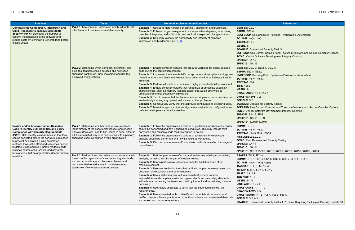g Build Pipelines—Verification, Automation

al Security Task 3 ent Compiler and Toolchain Versions and Secure Compiler Options vare Development Integrity Controls

**E.2-4, DE.2-5** g Build Pipelines—Verification, Automation

al Security Task 8 ent Compiler and Toolchain Versions and Secure Compiler Options vare Development Integrity Controls **R-9** 0070

<span id="page-22-1"></span><span id="page-22-0"></span>

| <b>Practices</b>                                                                                                                                                                                                                                                                                                                                                                                                                                     | <b>Tasks</b>                                                                                                                                                                                                                                                                                | <b>Notional Implementation Examples</b>                                                                                                                                                                                                                                                                                                                                                                                                                                                                                                                                                                                                                                                                                                                                                                                                                                                                                                                                                                                             | <b>References</b>                                                                                                                                                                                                                                                                                                                                                                                                                                                                                                                                     |
|------------------------------------------------------------------------------------------------------------------------------------------------------------------------------------------------------------------------------------------------------------------------------------------------------------------------------------------------------------------------------------------------------------------------------------------------------|---------------------------------------------------------------------------------------------------------------------------------------------------------------------------------------------------------------------------------------------------------------------------------------------|-------------------------------------------------------------------------------------------------------------------------------------------------------------------------------------------------------------------------------------------------------------------------------------------------------------------------------------------------------------------------------------------------------------------------------------------------------------------------------------------------------------------------------------------------------------------------------------------------------------------------------------------------------------------------------------------------------------------------------------------------------------------------------------------------------------------------------------------------------------------------------------------------------------------------------------------------------------------------------------------------------------------------------------|-------------------------------------------------------------------------------------------------------------------------------------------------------------------------------------------------------------------------------------------------------------------------------------------------------------------------------------------------------------------------------------------------------------------------------------------------------------------------------------------------------------------------------------------------------|
| Configure the Compilation, Interpreter, and<br><b>Build Processes to Improve Executable</b><br>Security (PW.6): Decrease the number of<br>security vulnerabilities in the software and<br>reduce costs by eliminating vulnerabilities before<br>testing occurs.                                                                                                                                                                                      | PW.6.1: Use compiler, interpreter, and build tools that<br>offer features to improve executable security.                                                                                                                                                                                   | <b>Example 1:</b> Use up-to-date versions of compiler, interpreter, and build tools.<br><b>Example 2:</b> Follow change management processes when deploying or updating<br>compiler, interpreter, and build tools, and audit all unexpected changes to tools.<br><b>Example 3: Regularly validate the authenticity and integrity of compiler,</b><br>interpreter, and build tools. See PO.3.                                                                                                                                                                                                                                                                                                                                                                                                                                                                                                                                                                                                                                        | <b>BSAFSS: DE.2-1</b><br><b>BSIMM: SE2.4</b><br><b>CNCFSSCP:</b> Securing Build Pipelines-Verification,<br>EO14028: $4e(iv)$ , $4e(ix)$<br><b>IEC62443: SI-2</b><br><b>MSSDL: 8</b><br><b>SCAGILE: Operational Security Task 3</b><br><b>SCFPSSD: Use Current Compiler and Toolchain Ve</b><br><b>SCSIC:</b> Vendor Software Development Integrity Con<br>SP80053: SA-15<br>SP800161: SA-15                                                                                                                                                           |
|                                                                                                                                                                                                                                                                                                                                                                                                                                                      | <b>PW.6.2:</b> Determine which compiler, interpreter, and<br>build tool features should be used and how each<br>should be configured, then implement and use the<br>approved configurations.                                                                                                | <b>Example 1:</b> Enable compiler features that produce warnings for poorly secured<br>code during the compilation process.<br><b>Example 2:</b> Implement the "clean build" concept, where all compiler warnings are<br>treated as errors and eliminated except those determined to be false positives or<br>irrelevant.<br><b>Example 3: Perform all builds in a dedicated, highly controlled build environment.</b><br><b>Example 4:</b> Enable compiler features that randomize or obfuscate execution<br>characteristics, such as memory location usage, that would otherwise be<br>predictable and thus potentially exploitable.<br><b>Example 5:</b> Test to ensure that the features are working as expected and are not<br>inadvertently causing any operational issues or other problems.<br><b>Example 6:</b> Continuously verify that the approved configurations are being used.<br><b>Example 7:</b> Make the approved tool configurations available as configuration-as-<br>code so developers can readily use them. | <b>BSAFSS: DE.2-3, DE.2-4, DE.2-5</b><br><b>BSIMM: SE2.4, SE3.2</b><br><b>CNCFSSCP:</b> Securing Build Pipelines-Verification,<br>EO14028: 4e(iv), 4e(ix)<br><b>IEC62443: SI-2</b><br>IR8397: 2.5<br><b>MSSDL: 8</b><br><b>OWASPASVS: 14.1, 14.2.1</b><br><b>OWASPMASVS: 7.2</b><br><b>PCISSLC: 3.2</b><br><b>SCAGILE: Operational Security Task 8</b><br><b>SCFPSSD: Use Current Compiler and Toolchain Ve</b><br><b>SCSIC:</b> Vendor Software Development Integrity Con<br>SP80053: SA-15, SR-9<br>SP800161: SA-15, SR-9<br>SP800181: K0039, K0070 |
| Review and/or Analyze Human-Readable<br><b>Code to Identify Vulnerabilities and Verify</b><br><b>Compliance with Security Requirements</b><br>(PW.7): Help identify vulnerabilities so that they<br>can be corrected before the software is released<br>to prevent exploitation. Using automated<br>methods lowers the effort and resources needed<br>to detect vulnerabilities. Human-readable code<br>includes source code, scripts, and any other | <b>PW.7.1:</b> Determine whether code review (a person<br>looks directly at the code to find issues) and/or code<br>analysis (tools are used to find issues in code, either in<br>a fully automated way or in conjunction with a person)<br>should be used, as defined by the organization. | <b>Example 1:</b> Follow the organization's policies or guidelines for when code review<br>should be performed and how it should be conducted. This may include third-<br>party code and reusable code modules written in-house.<br><b>Example 2:</b> Follow the organization's policies or guidelines for when code<br>analysis should be performed and how it should be conducted.<br><b>Example 3:</b> Choose code review and/or analysis methods based on the stage of<br>the software.                                                                                                                                                                                                                                                                                                                                                                                                                                                                                                                                         | <b>BSIMM: CR1.5</b><br>EO14028: 4e(iv), 4e(ix)<br>IEC62443: SM-5, SI-1, SVV-1<br><b>NISTLABEL: 2.2.2.2</b><br><b>SCSIC: Peer Reviews and Security Testing</b><br>SP80053: SA-11<br>SP800161: SA-11<br>SP800181: SP-DEV-002; K0013, K0039, K0070, K0                                                                                                                                                                                                                                                                                                   |
| form of code that an organization deems human-<br>readable.                                                                                                                                                                                                                                                                                                                                                                                          | <b>PW.7.2:</b> Perform the code review and/or code analysis<br>based on the organization's secure coding standards,<br>and record and triage all discovered issues and<br>recommended remediations in the development<br>team's workflow or issue tracking system.                          | <b>Example 1:</b> Perform peer review of code, and review any existing code review,<br>analysis, or testing results as part of the peer review.<br><b>Example 2:</b> Use expert reviewers to check code for backdoors and other<br>malicious content.<br><b>Example 3:</b> Use peer reviewing tools that facilitate the peer review process, and<br>document all discussions and other feedback.<br><b>Example 4:</b> Use a static analysis tool to automatically check code for<br>vulnerabilities and compliance with the organization's secure coding standards<br>with a human reviewing the issues reported by the tool and remediating them as<br>necessary.<br><b>Example 5:</b> Use review checklists to verify that the code complies with the<br>requirements.<br><b>Example 6:</b> Use automated tools to identify and remediate documented and<br>verified unsafe software practices on a continuous basis as human-readable code<br>is checked into the code repository.                                               | <b>BSAFSS: TV.2, PD.1-4</b><br>BSIMM: CR1.2, CR1.4, CR1.6, CR2.6, CR2.7, CR3.<br><b>EO14028</b> : $4e(iv)$ , $4e(v)$ , $4e(ix)$<br><b>IDASOAR: 3, 4, 5, 14, 15, 48</b><br>IEC62443: SI-1, SVV-1, SVV-2<br>IR8397: 2.3, 2.4<br>ISO27034: 7.3.6<br><b>MSSDL: 9, 10</b><br><b>NISTLABEL: 2.2.2.2</b><br><b>OWASPASVS: 1.1.7, 10</b><br><b>OWASPMASVS: 7.5</b><br>OWASPSAMM: IR1-B, IR2-A, IR2-B, IR3-A<br><b>PCISSLC: 3.2, 4.1</b><br><b>SCAGILE: Operational Security Tasks 4, 7; Tasks R</b>                                                           |

**SP800181**: SP-DEV-002; K0013, K0039, K0070, K0153, K0165; S0174 **BSIMM**: CR1.2, CR1.4, CR1.6, CR2.6, CR2.7, CR3.4, CR3.5

al Security Tasks 4, 7; Tasks Requiring the Help of Security Experts 10 **A**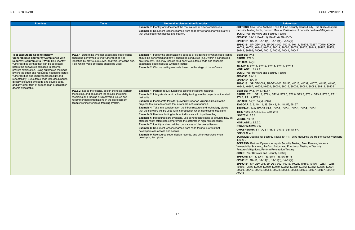**B** Analysis Tools to Find Security Issues Early, Use Static Analysis s, Perform Manual Verification of Security Features/Mitigations **and Security Testing**  $-11(1)$ , SA-11(4), SA-15(7) A-11(1), SA-11(4), SA-15(7) **SP800181**: SP-DEV-001, SP-DEV-002; T0013, T0111, T0176, T0267, T0516; K0009, K0039, K0070, K0140, K0624; S0019, S0060, S0078, S0137, S0149, S0167, S0174, S0242, S0266**;** A0007, A0015, A0036, A0044, A0047

001, SP-DEV-002; T0456; K0013, K0039, K0070, K0153, K0165, 6, K0624; S0001, S0015, S0026, S0061, S0083, S0112, S0135 **B**.1-4

**P**), 4e(ix) 1, 38, 39, 43, 44, 48, 55, 56, 57 **IEC62443**: SM-5, SM-13, SI-1, SVV-1, SVV-2, SVV-3, SVV-4, SVV-5 **IR8397**: 2.6, 2.7, 2.8, 2.9, 2.10, 2.11

**Dynamic Analysis Security Testing, Fuzz Parsers, Network** g, Perform Automated Functional Testing of Security Perform Penetration Testing **and Security Testing**  $-11(5)$ , SA-11(8), SA-15(7) A-11(5), SA-11(8), SA-15(7) 001, SP-DEV-002; T0013, T0028, T0169, T0176, T0253, T0266, , K0039, K0070, K0272, K0339, K0342, K0362, K0536, K0624; S0001, S0015, S0046, S0051, S0078, S0081, S0083, S0135, S0137, S0167, S0242;

<span id="page-23-0"></span>

| <b>Practices</b>                                                                                                                                                                                                                                                                                                                                                                                                                                                                                                                                                              | <b>Tasks</b>                                                                                                                                                                                                                                                    | <b>Notional Implementation Examples</b>                                                                                                                                                                                                                                                                                                                                                                                                                                                                                                                                                                                                                                                                                                                                                                                                                                                                                                                                                                                                                                                     | <b>References</b>                                                                                                                                                                                                                                                                                                                                                                                                                                                                                                                                                                                                                                                                                                                                                                                                                                                                                                                                                                                                                                            |
|-------------------------------------------------------------------------------------------------------------------------------------------------------------------------------------------------------------------------------------------------------------------------------------------------------------------------------------------------------------------------------------------------------------------------------------------------------------------------------------------------------------------------------------------------------------------------------|-----------------------------------------------------------------------------------------------------------------------------------------------------------------------------------------------------------------------------------------------------------------|---------------------------------------------------------------------------------------------------------------------------------------------------------------------------------------------------------------------------------------------------------------------------------------------------------------------------------------------------------------------------------------------------------------------------------------------------------------------------------------------------------------------------------------------------------------------------------------------------------------------------------------------------------------------------------------------------------------------------------------------------------------------------------------------------------------------------------------------------------------------------------------------------------------------------------------------------------------------------------------------------------------------------------------------------------------------------------------------|--------------------------------------------------------------------------------------------------------------------------------------------------------------------------------------------------------------------------------------------------------------------------------------------------------------------------------------------------------------------------------------------------------------------------------------------------------------------------------------------------------------------------------------------------------------------------------------------------------------------------------------------------------------------------------------------------------------------------------------------------------------------------------------------------------------------------------------------------------------------------------------------------------------------------------------------------------------------------------------------------------------------------------------------------------------|
|                                                                                                                                                                                                                                                                                                                                                                                                                                                                                                                                                                               |                                                                                                                                                                                                                                                                 | <b>Example 7:</b> Identify and document the root causes of discovered issues.<br><b>Example 8:</b> Document lessons learned from code review and analysis in a wiki<br>that developers can access and search.                                                                                                                                                                                                                                                                                                                                                                                                                                                                                                                                                                                                                                                                                                                                                                                                                                                                               | <b>SCFPSSD:</b> Use Code Analysis Tools to Find Securit<br>Security Testing Tools, Perform Manual Verification<br><b>SCSIC: Peer Reviews and Security Testing</b><br>SP80053: SA-11, SA-11(1), SA-11(4), SA-15(7)<br>SP800161: SA-11, SA-11(1), SA-11(4), SA-15(7)<br>SP800181: SP-DEV-001, SP-DEV-002; T0013, T01<br>K0039, K0070, K0140, K0624; S0019, S0060, S007<br>S0242, S0266; A0007, A0015, A0036, A0044, A004                                                                                                                                                                                                                                                                                                                                                                                                                                                                                                                                                                                                                                       |
| <b>Test Executable Code to Identify</b><br><b>Vulnerabilities and Verify Compliance with</b><br>Security Requirements (PW.8): Help identify<br>vulnerabilities so that they can be corrected<br>before the software is released in order to<br>prevent exploitation. Using automated methods<br>lowers the effort and resources needed to detect<br>vulnerabilities and improves traceability and<br>repeatability. Executable code includes binaries,<br>directly executed bytecode and source code,<br>and any other form of code that an organization<br>deems executable. | <b>PW.8.1:</b> Determine whether executable code testing<br>should be performed to find vulnerabilities not<br>identified by previous reviews, analysis, or testing and,<br>if so, which types of testing should be used.                                       | <b>Example 1:</b> Follow the organization's policies or guidelines for when code testing<br>should be performed and how it should be conducted (e.g., within a sandboxed<br>environment). This may include third-party executable code and reusable<br>executable code modules written in-house.<br><b>Example 2:</b> Choose testing methods based on the stage of the software.                                                                                                                                                                                                                                                                                                                                                                                                                                                                                                                                                                                                                                                                                                            | <b>BSAFSS: TV.3</b><br><b>BSIMM: PT2.3</b><br>EO14028: $4e(ix)$<br>IEC62443: SVV-1, SVV-2, SVV-3, SVV-4, SVV-5<br><b>NISTLABEL: 2.2.2.2</b><br><b>SCSIC: Peer Reviews and Security Testing</b><br>SP80053: SA-11<br>SP800161: SA-11<br>SP800181: SP-DEV-001, SP-DEV-002; T0456; K00<br>K0342, K0367, K0536, K0624; S0001, S0015, S002                                                                                                                                                                                                                                                                                                                                                                                                                                                                                                                                                                                                                                                                                                                        |
|                                                                                                                                                                                                                                                                                                                                                                                                                                                                                                                                                                               | <b>PW.8.2:</b> Scope the testing, design the tests, perform<br>the testing, and document the results, including<br>recording and triaging all discovered issues and<br>recommended remediations in the development<br>team's workflow or issue tracking system. | <b>Example 1: Perform robust functional testing of security features.</b><br><b>Example 2:</b> Integrate dynamic vulnerability testing into the project's automated<br>test suite.<br><b>Example 3:</b> Incorporate tests for previously reported vulnerabilities into the<br>project's test suite to ensure that errors are not reintroduced.<br><b>Example 4:</b> Take into consideration the infrastructures and technology stacks<br>that the software will be used with in production when developing test plans.<br><b>Example 5:</b> Use fuzz testing tools to find issues with input handling.<br><b>Example 6:</b> If resources are available, use penetration testing to simulate how an<br>attacker might attempt to compromise the software in high-risk scenarios.<br><b>Example 7:</b> Identify and record the root causes of discovered issues.<br><b>Example 8:</b> Document lessons learned from code testing in a wiki that<br>developers can access and search.<br><b>Example 9:</b> Use source code, design records, and other resources when<br>developing test plans. | <b>BSAFSS: TV.3, TV.5, PD.1-4</b><br><b>BSIMM: ST1.1, ST1.3, ST1.4, ST2.4, ST2.5, ST2.6,</b><br>PT1.2, PT1.3, PT3.1<br>EO14028: $4e(iv)$ , $4e(v)$ , $4e(ix)$<br><b>IDASOAR</b> : 7, 8, 10, 11, 38, 39, 43, 44, 48, 55, 56, 5<br>IEC62443: SM-5, SM-13, SI-1, SVV-1, SVV-2, SVV-<br>IR8397: 2.6, 2.7, 2.8, 2.9, 2.10, 2.11<br>ISO27034: 7.3.6<br><b>MSSDL: 10, 11</b><br><b>NISTLABEL: 2.2.2.2</b><br><b>OWASPMASVS: 7.5</b><br>OWASPSAMM: ST1-A, ST1-B, ST2-A, ST2-B, ST3-<br>PCISSLC: 4.1<br><b>SCAGILE: Operational Security Tasks 10, 11; Tasks</b><br>4, 5, 6, 7<br><b>SCFPSSD: Perform Dynamic Analysis Security Test</b><br>Vulnerability Scanning, Perform Automated Function<br>Features/Mitigations, Perform Penetration Testing<br><b>SCSIC: Peer Reviews and Security Testing</b><br>SP80053: SA-11, SA-11(5), SA-11(8), SA-15(7)<br>SP800161: SA-11, SA-11(5), SA-11(8), SA-15(7)<br>SP800181: SP-DEV-001, SP-DEV-002; T0013, T00:<br>T0456, T0516; K0009, K0039, K0070, K0272, K033<br>S0001, S0015, S0046, S0051, S0078, S0081, S008<br>A0015 |

**BSIMM**: ST1.1, ST1.3, ST1.4, ST2.4, ST2.5, ST2.6, ST3.3, ST3.4, ST3.5, ST3.6, PT1.1,

**OWASPSAMM**: ST1-A, ST1-B, ST2-A, ST2-B, ST3-A

al Security Tasks 10, 11; Tasks Requiring the Help of Security Experts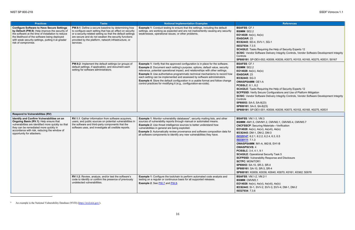| <b>Practices</b>                                                                                                                                                                                                                                                                         | <b>Tasks</b>                                                                                                                                                                                                                                                                                              | <b>Notional Implementation Examples</b>                                                                                                                                                                                                                                                                                                                                                                                                                                                                                                                                                            | <b>References</b>                                                                                                                                                                                                                                                                                                                                                                                                                                                                                                                                                                                                                      |
|------------------------------------------------------------------------------------------------------------------------------------------------------------------------------------------------------------------------------------------------------------------------------------------|-----------------------------------------------------------------------------------------------------------------------------------------------------------------------------------------------------------------------------------------------------------------------------------------------------------|----------------------------------------------------------------------------------------------------------------------------------------------------------------------------------------------------------------------------------------------------------------------------------------------------------------------------------------------------------------------------------------------------------------------------------------------------------------------------------------------------------------------------------------------------------------------------------------------------|----------------------------------------------------------------------------------------------------------------------------------------------------------------------------------------------------------------------------------------------------------------------------------------------------------------------------------------------------------------------------------------------------------------------------------------------------------------------------------------------------------------------------------------------------------------------------------------------------------------------------------------|
| <b>Configure Software to Have Secure Settings</b><br>by Default (PW.9): Help improve the security of<br>the software at the time of installation to reduce<br>the likelihood of the software being deployed<br>with weak security settings, putting it at greater<br>risk of compromise. | PW.9.1: Define a secure baseline by determining how<br>to configure each setting that has an effect on security<br>or a security-related setting so that the default settings<br>are secure and do not weaken the security functions<br>provided by the platform, network infrastructure, or<br>services. | <b>Example 1:</b> Conduct testing to ensure that the settings, including the default<br>settings, are working as expected and are not inadvertently causing any security<br>weaknesses, operational issues, or other problems.                                                                                                                                                                                                                                                                                                                                                                     | <b>BSAFSS: CF.1</b><br><b>BSIMM: SE2.2</b><br>EO14028: $4e(iv)$ , $4e(ix)$<br><b>IDASOAR: 23</b><br>IEC62443: SD-4, SVV-1, SG-1<br>ISO27034: 7.3.5<br><b>SCAGILE:</b> Tasks Requiring the Help of Security Exp<br><b>SCSIC:</b> Vendor Software Delivery Integrity Controls,<br>Controls<br>SP800181: SP-DEV-002; K0009, K0039, K0073, K0                                                                                                                                                                                                                                                                                              |
|                                                                                                                                                                                                                                                                                          | PW.9.2: Implement the default settings (or groups of<br>default settings, if applicable), and document each<br>setting for software administrators.                                                                                                                                                       | <b>Example 1:</b> Verify that the approved configuration is in place for the software.<br><b>Example 2:</b> Document each setting's purpose, options, default value, security<br>relevance, potential operational impact, and relationships with other settings.<br><b>Example 3:</b> Use authoritative programmatic technical mechanisms to record how<br>each setting can be implemented and assessed by software administrators.<br><b>Example 4:</b> Store the default configuration in a usable format and follow change<br>control practices for modifying it (e.g., configuration-as-code). | <b>BSAFSS: CF.1</b><br><b>BSIMM: SE2.2</b><br>EO14028: 4e(iv), 4e(ix)<br><b>IDASOAR: 23</b><br>IEC62443: SG-3<br><b>OWASPSAMM: OE1-A</b><br><b>PCISSLC: 8.1, 8.2</b><br><b>SCAGILE:</b> Tasks Requiring the Help of Security Exp<br>SCFPSSD: Verify Secure Configurations and Use of<br><b>SCSIC:</b> Vendor Software Delivery Integrity Controls,<br>Controls<br>SP80053: SA-5, SA-8(23)<br>SP800161: SA-5, SA-8(23)<br>SP800181: SP-DEV-001; K0009, K0039, K0073, K0                                                                                                                                                                 |
| <b>Respond to Vulnerabilities (RV)</b>                                                                                                                                                                                                                                                   |                                                                                                                                                                                                                                                                                                           |                                                                                                                                                                                                                                                                                                                                                                                                                                                                                                                                                                                                    |                                                                                                                                                                                                                                                                                                                                                                                                                                                                                                                                                                                                                                        |
| Identify and Confirm Vulnerabilities on an<br>Ongoing Basis (RV.1): Help ensure that<br>vulnerabilities are identified more quickly so that<br>they can be remediated more quickly in<br>accordance with risk, reducing the window of<br>opportunity for attackers.                      | RV.1.1: Gather information from software acquirers,<br>users, and public sources on potential vulnerabilities in<br>the software and third-party components that the<br>software uses, and investigate all credible reports.                                                                              | <b>Example 1:</b> Monitor vulnerability databases <sup>9</sup> , security mailing lists, and other<br>sources of vulnerability reports through manual or automated means.<br><b>Example 2:</b> Use threat intelligence sources to better understand how<br>vulnerabilities in general are being exploited.<br><b>Example 3:</b> Automatically review provenance and software composition data for<br>all software components to identify any new vulnerabilities they have.                                                                                                                        | <b>BSAFSS: VM.1-3, VM.3</b><br><b>BSIMM: AM1.5, CMVM1.2, CMVM2.1, CMVM3.4, C</b><br><b>CNCFSSCP: Securing Materials-Verification</b><br><b>EO14028</b> : 4e(iv), 4e(vi), 4e(viii), 4e(ix)<br>IEC62443: DM-1, DM-2, DM-3<br>ISO29147: 6.2.1, 6.2.2, 6.2.4, 6.3, 6.5<br><b>ISO30111</b> 7.1.3<br>OWASPSAMM: IM1-A, IM2-B, EH1-B<br><b>OWASPSCVS: 4</b><br><b>PCISSLC: 3.4, 4.1, 9.1</b><br><b>SCAGILE: Operational Security Task 5</b><br><b>SCFPSSD:</b> Vulnerability Response and Disclosure<br><b>SCTPC: MONITOR1</b><br>SP80053: SA-10, SR-3, SR-4<br>SP800161: SA-10, SR-3, SR-4<br>SP800181: K0009, K0038, K0040, K0070, K0161, K |
|                                                                                                                                                                                                                                                                                          | RV.1.2: Review, analyze, and/or test the software's<br>code to identify or confirm the presence of previously<br>undetected vulnerabilities.                                                                                                                                                              | <b>Example 1:</b> Configure the toolchain to perform automated code analysis and<br>testing on a regular or continuous basis for all supported releases.<br><b>Example 2: See PW.7 and PW.8.</b>                                                                                                                                                                                                                                                                                                                                                                                                   | <b>BSAFSS: VM.1-2, VM.2-1</b><br><b>BSIMM: CMVM3.1</b><br>EO14028: 4e(iv), 4e(vi), 4e(viii), 4e(ix)<br>IEC62443: SI-1, SVV-2, SVV-3, SVV-4, DM-1, DM-2<br>ISO27034: 7.3.6                                                                                                                                                                                                                                                                                                                                                                                                                                                              |

<sup>&</sup>lt;sup>9</sup> An example is the National Vulnerability Database (NVD) (https://nvd.nist.gov/).

<span id="page-24-0"></span>equiring the Help of Security Experts 12 vare Delivery Integrity Controls, Vendor Software Development Integrity

**SP800181**: SP-DEV-002; K0009, K0039, K0073, K0153, K0165, K0275, K0531; S0167

**Quiring the Help of Security Experts 12 Scure Configurations and Use of Platform Mitigation** ware Delivery Integrity Controls, Vendor Software Development Integrity

 $-8(23)$  $-8(23)$ **SP800181**: SP-DEV-001; K0009, K0039, K0073, K0153, K0165, K0275, K0531

**BSIMM**: AM1.5, CMVM1.2, CMVM2.1, CMVM3.4, CMVM3.7 ng Materials—Verification (vi), 4e(viii), 4e(ix) **I-2, DM-3 P.2, 6.2.4, 6.3, 6.5** 

**R-3, SR-4**  $SR-3$ , SR-4 **SP800181**: K0009, K0038, K0040, K0070, K0161, K0362; S0078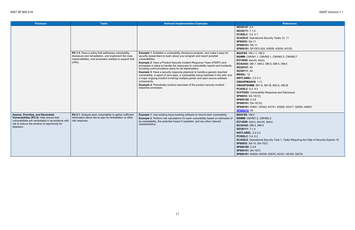| <b>Practices</b>                                                                                                                                                                                 | <b>Tasks</b>                                                                                                                                                                    | <b>Notional Implementation Examples</b>                                                                                                                                                                                                                                                                                                                                                                                                                                                                                                                                                                                                                                                                                                                                                                 | <b>References</b>                                                                                                                                                                                                                                                                                                                                                                                                                                                                                                                                                                                                                                                                                                                                          |
|--------------------------------------------------------------------------------------------------------------------------------------------------------------------------------------------------|---------------------------------------------------------------------------------------------------------------------------------------------------------------------------------|---------------------------------------------------------------------------------------------------------------------------------------------------------------------------------------------------------------------------------------------------------------------------------------------------------------------------------------------------------------------------------------------------------------------------------------------------------------------------------------------------------------------------------------------------------------------------------------------------------------------------------------------------------------------------------------------------------------------------------------------------------------------------------------------------------|------------------------------------------------------------------------------------------------------------------------------------------------------------------------------------------------------------------------------------------------------------------------------------------------------------------------------------------------------------------------------------------------------------------------------------------------------------------------------------------------------------------------------------------------------------------------------------------------------------------------------------------------------------------------------------------------------------------------------------------------------------|
|                                                                                                                                                                                                  | RV.1.3: Have a policy that addresses vulnerability<br>disclosure and remediation, and implement the roles,<br>responsibilities, and processes needed to support that<br>policy. | <b>Example 1:</b> Establish a vulnerability disclosure program, and make it easy for<br>security researchers to learn about your program and report possible<br>vulnerabilities.<br><b>Example 2:</b> Have a Product Security Incident Response Team (PSIRT) and<br>processes in place to handle the responses to vulnerability reports and incidents,<br>including communications plans for all stakeholders.<br><b>Example 3:</b> Have a security response playbook to handle a generic reported<br>vulnerability, a report of zero-days, a vulnerability being exploited in the wild, and<br>a major ongoing incident involving multiple parties and open-source software<br>components.<br><b>Example 4: Periodically conduct exercises of the product security incident</b><br>response processes. | ISO29147: 6.4<br>ISO30111: 7.1.4<br><b>PCISSLC: 3.4, 4.1</b><br><b>SCAGILE: Operational Security Tasks 10, 11</b><br>SP80053: SA-11<br>SP800161: SA-11<br>SP800181: SP-DEV-002; K0009, K0039, K0153<br><b>BSAFSS: VM.1-1, VM.2</b><br>BSIMM: CMVM1.1, CMVM2.1, CMVM3.3, CMVM3.7<br>EO14028: 4e(viii), 4e(ix)<br>IEC62443: DM-1, DM-2, DM-3, DM-4, DM-5<br><b>ISO29147: All</b><br><b>ISO30111: All</b><br><b>MSSDL: 12</b><br><b>NISTLABEL: 2.2.2.3</b><br><b>OWASPMASVS: 1.11</b><br>OWASPSAMM: IM1-A, IM1-B, IM2-A, IM2-B<br><b>PCISSLC: 9.2, 9.3</b><br><b>SCFPSSD:</b> Vulnerability Response and Disclosure<br>SP80053: SA-15(10)<br>SP800160: 3.3.8<br>SP800161: SA-15(10)<br>SP800181: K0041, K0042, K0151, K0292, K0317; S<br><b>SP800216: All</b> |
| Assess, Prioritize, and Remediate<br>Vulnerabilities (RV.2): Help ensure that<br>vulnerabilities are remediated in accordance with<br>risk to reduce the window of opportunity for<br>attackers. | RV.2.1: Analyze each vulnerability to gather sufficient<br>information about risk to plan its remediation or other<br>risk response.                                            | <b>Example 1:</b> Use existing issue tracking software to record each vulnerability.<br><b>Example 2: Perform risk calculations for each vulnerability based on estimates of</b><br>its exploitability, the potential impact if exploited, and any other relevant<br>characteristics.                                                                                                                                                                                                                                                                                                                                                                                                                                                                                                                   | <b>BSAFSS: VM.2</b><br>BSIMM: CMVM1.2, CMVM2.2<br><b>EO14028:</b> 4e(iv), 4e(viii), 4e(ix)<br>IEC62443: DM-2, DM-3<br>ISO30111: 7.1.4<br><b>NISTLABEL: 2.2.2.2</b><br><b>PCISSLC: 3.4, 4.2</b><br><b>SCAGILE: Operational Security Task 1, Tasks Requares</b><br>SP80053: SA-10, SA-15(7)<br>SP800160: 3.3.8<br>SP800161: SA-15(7)<br>SP800181: K0009, K0039, K0070, K0161, K0165; S                                                                                                                                                                                                                                                                                                                                                                       |

**SP800181**: K0041, K0042, K0151, K0292, K0317; S0054; A0025

nal Security Task 1, Tasks Requiring the Help of Security Experts 10 **S-15(7)** 

**SP800181**: K0009, K0039, K0070, K0161, K0165; S0078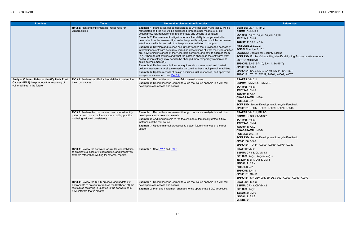al Security Task 2 **SCFPSSD**: Fix the Vulnerability, Identify Mitigating Factors or Workarounds

evelopment Lifecycle Feedback

| <b>Practices</b>                                                                                                                | <b>Tasks</b>                                                                                                                                                                                            | <b>Notional Implementation Examples</b>                                                                                                                                                                                                                                                                                                                                                                                                                                                                                                                                                                                                                                                                                                                                                                                                                                                                                                                                                                                                                                                                                                                                                                                                                             | <b>References</b>                                                                                                                                                                                                                                                                                                                                                                                                                                                                                         |
|---------------------------------------------------------------------------------------------------------------------------------|---------------------------------------------------------------------------------------------------------------------------------------------------------------------------------------------------------|---------------------------------------------------------------------------------------------------------------------------------------------------------------------------------------------------------------------------------------------------------------------------------------------------------------------------------------------------------------------------------------------------------------------------------------------------------------------------------------------------------------------------------------------------------------------------------------------------------------------------------------------------------------------------------------------------------------------------------------------------------------------------------------------------------------------------------------------------------------------------------------------------------------------------------------------------------------------------------------------------------------------------------------------------------------------------------------------------------------------------------------------------------------------------------------------------------------------------------------------------------------------|-----------------------------------------------------------------------------------------------------------------------------------------------------------------------------------------------------------------------------------------------------------------------------------------------------------------------------------------------------------------------------------------------------------------------------------------------------------------------------------------------------------|
|                                                                                                                                 | RV.2.2: Plan and implement risk responses for<br>vulnerabilities.                                                                                                                                       | <b>Example 1:</b> Make a risk-based decision as to whether each vulnerability will be<br>remediated or if the risk will be addressed through other means (e.g., risk<br>acceptance, risk transference), and prioritize any actions to be taken.<br><b>Example 2:</b> If a permanent mitigation for a vulnerability is not yet available,<br>determine how the vulnerability can be temporarily mitigated until the permanent<br>solution is available, and add that temporary remediation to the plan.<br><b>Example 3:</b> Develop and release security advisories that provide the necessary<br>information to software acquirers, including descriptions of what the vulnerabilities<br>are, how to find instances of the vulnerable software, and how to address them<br>(e.g., where to get patches and what the patches change in the software; what<br>configuration settings may need to be changed; how temporary workarounds<br>could be implemented).<br><b>Example 4:</b> Deliver remediations to acquirers via an automated and trusted<br>delivery mechanism. A single remediation could address multiple vulnerabilities.<br><b>Example 5:</b> Update records of design decisions, risk responses, and approved<br>exceptions as needed. See PW.1.2. | <b>BSAFSS: VM.1-1, VM-2</b><br><b>BSIMM: CMVM2.1</b><br>EO14028: 4e(iv), 4e(vi), 4e(viii), 4e(ix)<br>IEC62443: DM-4<br>ISO30111: 7.1.4, 7.1.5<br><b>NISTLABEL: 2.2.2.2</b><br><b>PCISSLC: 4.1, 4.2, 10.1</b><br><b>SCAGILE: Operational Security Task 2</b><br>SCFPSSD: Fix the Vulnerability, Identify Mitigating F<br><b>SCTPC: MITIGATE</b><br>SP80053: SA-5, SA-10, SA-11, SA-15(7)<br>SP800160: 3.3.8<br>SP800161: SA-5, SA-8, SA-10, SA-11, SA-15(7)<br>SP800181: T0163, T0229, T0264; K0009, K0070 |
| Analyze Vulnerabilities to Identify Their Root<br>Causes (RV.3): Help reduce the frequency of<br>vulnerabilities in the future. | RV.3.1: Analyze identified vulnerabilities to determine<br>their root causes.                                                                                                                           | <b>Example 1: Record the root cause of discovered issues.</b><br><b>Example 2:</b> Record lessons learned through root cause analysis in a wiki that<br>developers can access and search.                                                                                                                                                                                                                                                                                                                                                                                                                                                                                                                                                                                                                                                                                                                                                                                                                                                                                                                                                                                                                                                                           | <b>BSAFSS: VM.2-1</b><br>BSIMM: CMVM3.1, CMVM3.2<br>EO14028: $4e(ix)$<br>IEC62443: DM-3<br>ISO30111: 7.1.4<br><b>OWASPSAMM: IM3-A</b><br>PCISSLC: 4.2<br>SCFPSSD: Secure Development Lifecycle Feedbac<br>SP800181: T0047, K0009, K0039, K0070, K0343                                                                                                                                                                                                                                                     |
|                                                                                                                                 | RV.3.2: Analyze the root causes over time to identify<br>patterns, such as a particular secure coding practice<br>not being followed consistently.                                                      | <b>Example 1:</b> Record lessons learned through root cause analysis in a wiki that<br>developers can access and search.<br><b>Example 2:</b> Add mechanisms to the toolchain to automatically detect future<br>instances of the root cause.<br><b>Example 3:</b> Update manual processes to detect future instances of the root<br>cause.                                                                                                                                                                                                                                                                                                                                                                                                                                                                                                                                                                                                                                                                                                                                                                                                                                                                                                                          | <b>BSAFSS: VM.2-1, PD.1-3</b><br>BSIMM: CP3.3, CMVM3.2<br>EO14028: $4e(ix)$<br>IEC62443: DM-4<br>ISO30111: 7.1.7<br><b>OWASPSAMM: IM3-B</b><br><b>PCISSLC: 2.6, 4.2</b><br>SCFPSSD: Secure Development Lifecycle Feedbac<br>SP800160: 3.3.8<br>SP800181: T0111, K0009, K0039, K0070, K0343                                                                                                                                                                                                                |
|                                                                                                                                 | RV.3.3: Review the software for similar vulnerabilities<br>to eradicate a class of vulnerabilities, and proactively<br>fix them rather than waiting for external reports.                               | <b>Example 1: See PW.7 and PW.8.</b>                                                                                                                                                                                                                                                                                                                                                                                                                                                                                                                                                                                                                                                                                                                                                                                                                                                                                                                                                                                                                                                                                                                                                                                                                                | <b>BSAFSS: VM.2</b><br>BSIMM: CR3.3, CMVM3.1<br>EO14028: 4e(iv), 4e(viii), 4e(ix)<br>IEC62443: SI-1, DM-3, DM-4<br>ISO30111: 7.1.4<br><b>PCISSLC: 4.2</b><br>SP80053: SA-11<br>SP800161: SA-11<br>SP800181: SP-DEV-001, SP-DEV-002; K0009, K00                                                                                                                                                                                                                                                            |
|                                                                                                                                 | RV.3.4: Review the SDLC process, and update it if<br>appropriate to prevent (or reduce the likelihood of) the<br>root cause recurring in updates to the software or in<br>new software that is created. | Example 1: Record lessons learned through root cause analysis in a wiki that<br>developers can access and search.<br><b>Example 2:</b> Plan and implement changes to the appropriate SDLC practices.                                                                                                                                                                                                                                                                                                                                                                                                                                                                                                                                                                                                                                                                                                                                                                                                                                                                                                                                                                                                                                                                | <b>BSAFSS: PD.1-3</b><br>BSIMM: CP3.3, CMVM3.2<br>EO14028: $4e(ix)$<br>IEC62443: DM-6<br>ISO30111: 7.1.7<br><b>MSSDL: 2</b>                                                                                                                                                                                                                                                                                                                                                                               |

001, SP-DEV-002; K0009, K0039, K0070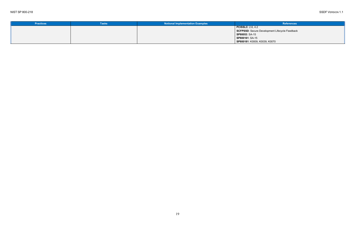| <b>Practices</b> | <b>Tasks</b> | <b>Notional Implementation Examples</b> | <b>References</b>                              |
|------------------|--------------|-----------------------------------------|------------------------------------------------|
|                  |              |                                         | $\vert$ PCISSLC: 2.6, 4.2                      |
|                  |              |                                         | SCFPSSD: Secure Development Lifecycle Feedback |
|                  |              |                                         | SP80053: SA-15                                 |
|                  |              |                                         | $\blacksquare$ SP800161: SA-15                 |
|                  |              |                                         | SP800181: K0009, K0039, K0070                  |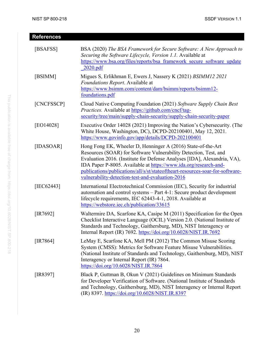<span id="page-28-9"></span><span id="page-28-8"></span><span id="page-28-7"></span><span id="page-28-6"></span><span id="page-28-5"></span><span id="page-28-4"></span><span id="page-28-3"></span><span id="page-28-2"></span><span id="page-28-1"></span><span id="page-28-0"></span>

| <b>References</b> |                                                                                                                                                                                                                                                                                                                                                                                                                       |
|-------------------|-----------------------------------------------------------------------------------------------------------------------------------------------------------------------------------------------------------------------------------------------------------------------------------------------------------------------------------------------------------------------------------------------------------------------|
| [BSAFSS]          | BSA (2020) The BSA Framework for Secure Software: A New Approach to<br>Securing the Software Lifecycle, Version 1.1. Available at<br>https://www.bsa.org/files/reports/bsa framework secure software update<br>2020.pdf                                                                                                                                                                                               |
| [BSIMM]           | Migues S, Erlikhman E, Ewers J, Nassery K (2021) BSIMM12 2021<br>Foundations Report. Available at<br>https://www.bsimm.com/content/dam/bsimm/reports/bsimm12-<br>foundations.pdf                                                                                                                                                                                                                                      |
| [CNCFSSCP]        | Cloud Native Computing Foundation (2021) Software Supply Chain Best<br>Practices. Available at https://github.com/cncf/tag-<br>security/tree/main/supply-chain-security/supply-chain-security-paper                                                                                                                                                                                                                   |
| [EO14028]         | Executive Order 14028 (2021) Improving the Nation's Cybersecurity. (The<br>White House, Washington, DC), DCPD-202100401, May 12, 2021.<br>https://www.govinfo.gov/app/details/DCPD-202100401                                                                                                                                                                                                                          |
| [IDASOAR]         | Hong Fong EK, Wheeler D, Henninger A (2016) State-of-the-Art<br>Resources (SOAR) for Software Vulnerability Detection, Test, and<br>Evaluation 2016. (Institute for Defense Analyses [IDA], Alexandria, VA),<br>IDA Paper P-8005. Available at https://www.ida.org/research-and-<br>publications/publications/all/s/st/stateoftheart-resources-soar-for-software-<br>vulnerability-detection-test-and-evaluation-2016 |
| [IEC62443]        | International Electrotechnical Commission (IEC), Security for industrial<br>automation and control systems - Part 4-1: Secure product development<br>lifecycle requirements, IEC 62443-4-1, 2018. Available at<br>https://webstore.iec.ch/publication/33615                                                                                                                                                           |
| $[IR7692]$        | Waltermire DA, Scarfone KA, Casipe M (2011) Specification for the Open<br>Checklist Interactive Language (OCIL) Version 2.0. (National Institute of<br>Standards and Technology, Gaithersburg, MD), NIST Interagency or<br>Internal Report (IR) 7692. https://doi.org/10.6028/NIST.IR.7692                                                                                                                            |
| $[IR7864]$        | LeMay E, Scarfone KA, Mell PM (2012) The Common Misuse Scoring<br>System (CMSS): Metrics for Software Feature Misuse Vulnerabilities.<br>(National Institute of Standards and Technology, Gaithersburg, MD), NIST<br>Interagency or Internal Report (IR) 7864.<br>https://doi.org/10.6028/NIST.IR.7864                                                                                                                |
| [IR8397]          | Black P, Guttman B, Okun V (2021) Guidelines on Minimum Standards<br>for Developer Verification of Software. (National Institute of Standards<br>and Technology, Gaithersburg, MD), NIST Interagency or Internal Report<br>(IR) 8397. https://doi.org/10.6028/NIST.IR.8397                                                                                                                                            |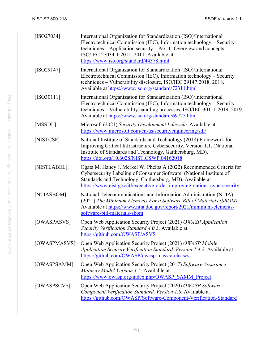<span id="page-29-10"></span><span id="page-29-9"></span><span id="page-29-8"></span><span id="page-29-7"></span><span id="page-29-6"></span><span id="page-29-5"></span><span id="page-29-4"></span><span id="page-29-3"></span><span id="page-29-2"></span><span id="page-29-1"></span><span id="page-29-0"></span>

| $[ISO27034]$ | International Organization for Standardization (ISO)/International<br>Electrotechnical Commission (IEC), Information technology – Security<br>techniques - Application security - Part 1: Overview and concepts,<br>ISO/IEC 27034-1:2011, 2011. Available at<br>https://www.iso.org/standard/44378.html |
|--------------|---------------------------------------------------------------------------------------------------------------------------------------------------------------------------------------------------------------------------------------------------------------------------------------------------------|
| $[ISO29147]$ | International Organization for Standardization (ISO)/International<br>Electrotechnical Commission (IEC), Information technology – Security<br>techniques - Vulnerability disclosure, ISO/IEC 29147:2018, 2018.<br>Available at https://www.iso.org/standard/72311.html                                  |
| $[ISO30111]$ | International Organization for Standardization (ISO)/International<br>Electrotechnical Commission (IEC), Information technology – Security<br>techniques - Vulnerability handling processes, ISO/IEC 30111:2019, 2019.<br>Available at https://www.iso.org/standard/69725.html                          |
| [MSSDL]      | Microsoft (2021) Security Development Lifecycle. Available at<br>https://www.microsoft.com/en-us/securityengineering/sdl/                                                                                                                                                                               |
| [NISTCSF]    | National Institute of Standards and Technology (2018) Framework for<br>Improving Critical Infrastructure Cybersecurity, Version 1.1. (National<br>Institute of Standards and Technology, Gaithersburg, MD).<br>https://doi.org/10.6028/NIST.CSWP.04162018                                               |
| [NISTLABEL]  | Ogata M, Haney J, Merkel W, Phelps A (2022) Recommended Criteria for<br>Cybersecurity Labeling of Consumer Software. (National Institute of<br>Standards and Technology, Gaithersburg, MD). Available at<br>https://www.nist.gov/itl/executive-order-improving-nations-cybersecurity                    |
| [NTIASBOM]   | National Telecommunications and Information Administration (NTIA)<br>(2021) The Minimum Elements For a Software Bill of Materials (SBOM).<br>Available at https://www.ntia.doc.gov/report/2021/minimum-elements-<br>software-bill-materials-sbom                                                        |
| [OWASPASVS]  | Open Web Application Security Project (2021) OWASP Application<br>Security Verification Standard 4.0.3. Available at<br>https://github.com/OWASP/ASVS                                                                                                                                                   |
| [OWASPMASVS] | Open Web Application Security Project (2021) OWASP Mobile<br>Application Security Verification Standard, Version 1.4.2. Available at<br>https://github.com/OWASP/owasp-masys/releases                                                                                                                   |
| [OWASPSAMM]  | Open Web Application Security Project (2017) Software Assurance<br>Maturity Model Version 1.5. Available at<br>https://www.owasp.org/index.php/OWASP SAMM Project                                                                                                                                       |
| [OWASPSCVS]  | Open Web Application Security Project (2020) OWASP Software<br>Component Verification Standard, Version 1.0. Available at<br>https://github.com/OWASP/Software-Component-Verification-Standard                                                                                                          |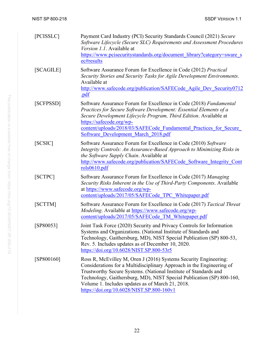<span id="page-30-7"></span><span id="page-30-6"></span><span id="page-30-5"></span><span id="page-30-4"></span><span id="page-30-3"></span><span id="page-30-2"></span><span id="page-30-1"></span><span id="page-30-0"></span>

| [PCISSLC]  | Payment Card Industry (PCI) Security Standards Council (2021) Secure<br>Software Lifecycle (Secure SLC) Requirements and Assessment Procedures<br>Version 1.1. Available at<br>https://www.pcisecuritystandards.org/document_library?category=sware_s<br>ec#results                                                                                                                     |
|------------|-----------------------------------------------------------------------------------------------------------------------------------------------------------------------------------------------------------------------------------------------------------------------------------------------------------------------------------------------------------------------------------------|
| [SCAGILE]  | Software Assurance Forum for Excellence in Code (2012) Practical<br>Security Stories and Security Tasks for Agile Development Environments.<br>Available at<br>http://www.safecode.org/publication/SAFECode Agile Dev Security0712<br>.pdf                                                                                                                                              |
| [SCFPSSD]  | Software Assurance Forum for Excellence in Code (2018) Fundamental<br>Practices for Secure Software Development: Essential Elements of a<br>Secure Development Lifecycle Program, Third Edition. Available at<br>https://safecode.org/wp-<br>content/uploads/2018/03/SAFECode Fundamental Practices for Secure<br>Software Development March 2018.pdf                                   |
| [SCSIC]    | Software Assurance Forum for Excellence in Code (2010) Software<br>Integrity Controls: An Assurance-Based Approach to Minimizing Risks in<br>the Software Supply Chain. Available at<br>http://www.safecode.org/publication/SAFECode Software Integrity Cont<br>rols0610.pdf                                                                                                            |
| [SCTPC]    | Software Assurance Forum for Excellence in Code (2017) Managing<br>Security Risks Inherent in the Use of Third-Party Components. Available<br>at https://www.safecode.org/wp-<br>content/uploads/2017/05/SAFECode TPC Whitepaper.pdf                                                                                                                                                    |
| [SCTTM]    | Software Assurance Forum for Excellence in Code (2017) Tactical Threat<br>Modeling. Available at https://www.safecode.org/wp-<br>content/uploads/2017/05/SAFECode TM Whitepaper.pdf                                                                                                                                                                                                     |
| [SP80053]  | Joint Task Force (2020) Security and Privacy Controls for Information<br>Systems and Organizations. (National Institute of Standards and<br>Technology, Gaithersburg, MD), NIST Special Publication (SP) 800-53,<br>Rev. 5. Includes updates as of December 10, 2020.<br>https://doi.org/10.6028/NIST.SP.800-53r5                                                                       |
| [SP800160] | Ross R, McEvilley M, Oren J (2016) Systems Security Engineering:<br>Considerations for a Multidisciplinary Approach in the Engineering of<br>Trustworthy Secure Systems. (National Institute of Standards and<br>Technology, Gaithersburg, MD), NIST Special Publication (SP) 800-160,<br>Volume 1. Includes updates as of March 21, 2018.<br>https://doi.org/10.6028/NIST.SP.800-160v1 |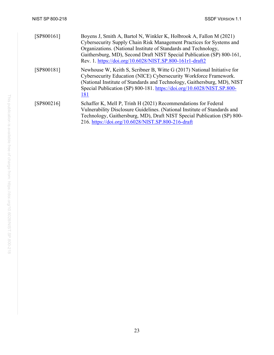<span id="page-31-2"></span><span id="page-31-1"></span><span id="page-31-0"></span>

| [SP800161] | Boyens J, Smith A, Bartol N, Winkler K, Holbrook A, Fallon M (2021)<br>Cybersecurity Supply Chain Risk Management Practices for Systems and<br>Organizations. (National Institute of Standards and Technology,<br>Gaithersburg, MD), Second Draft NIST Special Publication (SP) 800-161,<br>Rev. 1. https://doi.org/10.6028/NIST.SP.800-161r1-draft2 |
|------------|------------------------------------------------------------------------------------------------------------------------------------------------------------------------------------------------------------------------------------------------------------------------------------------------------------------------------------------------------|
| [SP800181] | Newhouse W, Keith S, Scribner B, Witte G (2017) National Initiative for<br>Cybersecurity Education (NICE) Cybersecurity Workforce Framework.<br>(National Institute of Standards and Technology, Gaithersburg, MD), NIST<br>Special Publication (SP) 800-181. https://doi.org/10.6028/NIST.SP.800-<br>181                                            |
| [SP800216] | Schaffer K, Mell P, Trinh H (2021) Recommendations for Federal<br>Vulnerability Disclosure Guidelines. (National Institute of Standards and<br>Technology, Gaithersburg, MD), Draft NIST Special Publication (SP) 800-<br>216. https://doi.org/10.6028/NIST.SP.800-216-draft                                                                         |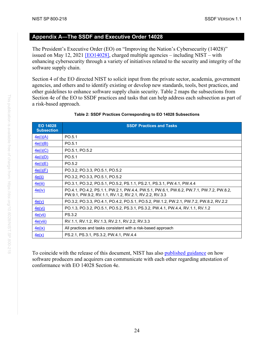#### <span id="page-32-0"></span>**The SSDF and Executive Order 14028**

The President's Executive Order (EO) on "Improving the Nation's Cybersecurity (14028)" issued on May 12, 2021 [\[EO14028\],](#page-28-4) charged multiple agencies – including NIST – with enhancing cybersecurity through a variety of initiatives related to the security and integrity of the software supply chain.

Section 4 of the EO directed NIST to solicit input from the private sector, academia, government agencies, and others and to identify existing or develop new standards, tools, best practices, and other guidelines to enhance software supply chain security. [Table 2](#page-32-1) maps the subsections from Section 4e of the EO to SSDF practices and tasks that can help address each subsection as part of a risk-based approach.

<span id="page-32-1"></span>

| EO 14028<br><b>Subsection</b> | <b>SSDF Practices and Tasks</b>                                                                                                                   |
|-------------------------------|---------------------------------------------------------------------------------------------------------------------------------------------------|
| 4e(i)(A)                      | PO.5.1                                                                                                                                            |
| 4e(i)(B)                      | PO.5.1                                                                                                                                            |
| 4e(i)(C)                      | PO.5.1, PO.5.2                                                                                                                                    |
| 4e(i)(D)                      | PO.5.1                                                                                                                                            |
| 4e(i)(E)                      | PO.5.2                                                                                                                                            |
| 4e(i)(F)                      | PO.3.2, PO.3.3, PO.5.1, PO.5.2                                                                                                                    |
| 4e(ii)                        | PO.3.2, PO.3.3, PO.5.1, PO.5.2                                                                                                                    |
| 4e(iii)                       | PO.3.1, PO.3.2, PO.5.1, PO.5.2, PS.1.1, PS.2.1, PS.3.1, PW.4.1, PW.4.4                                                                            |
| 4e(iv)                        | PO.4.1, PO.4.2, PS.1.1, PW.2.1, PW.4.4, PW.5.1, PW.6.1, PW.6.2, PW.7.1, PW.7.2, PW.8.2,<br>PW.9.1, PW.9.2, RV.1.1, RV.1.2, RV.2.1, RV.2.2, RV.3.3 |
| 4e(v)                         | PO.3.2, PO.3.3, PO.4.1, PO.4.2, PO.5.1, PO.5.2, PW.1.2, PW.2.1, PW.7.2, PW.8.2, RV.2.2                                                            |
| 4e(vi)                        | PO.1.3, PO.3.2, PO.5.1, PO.5.2, PS.3.1, PS.3.2, PW.4.1, PW.4.4, RV.1.1, RV.1.2                                                                    |
| 4e(vii)                       | <b>PS.3.2</b>                                                                                                                                     |
| 4e(viii)                      | RV.1.1, RV.1.2, RV.1.3, RV.2.1, RV.2.2, RV.3.3                                                                                                    |
| 4e(ix)                        | All practices and tasks consistent with a risk-based approach                                                                                     |
| 4e(x)                         | PS.2.1, PS.3.1, PS.3.2, PW.4.1, PW.4.4                                                                                                            |

#### **Table 2: SSDF Practices Corresponding to EO 14028 Subsections**

To coincide with the release of this document, NIST has also published guidance on how software producers and acquirers can communicate with each other regarding attestation of conformance with EO 14028 Section 4e.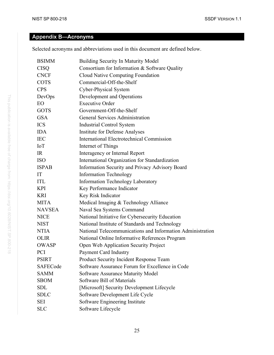## <span id="page-33-0"></span>**Appendix B-Acronyms**

Selected acronyms and abbreviations used in this document are defined below.

| <b>BSIMM</b>  | <b>Building Security In Maturity Model</b>                 |
|---------------|------------------------------------------------------------|
| <b>CISQ</b>   | Consortium for Information & Software Quality              |
| <b>CNCF</b>   | Cloud Native Computing Foundation                          |
| <b>COTS</b>   | Commercial-Off-the-Shelf                                   |
| <b>CPS</b>    | Cyber-Physical System                                      |
| DevOps        | Development and Operations                                 |
| <b>EO</b>     | <b>Executive Order</b>                                     |
| <b>GOTS</b>   | Government-Off-the-Shelf                                   |
| <b>GSA</b>    | <b>General Services Administration</b>                     |
| <b>ICS</b>    | Industrial Control System                                  |
| <b>IDA</b>    | <b>Institute for Defense Analyses</b>                      |
| <b>IEC</b>    | <b>International Electrotechnical Commission</b>           |
| IoT           | Internet of Things                                         |
| IR            | Interagency or Internal Report                             |
| <b>ISO</b>    | International Organization for Standardization             |
| <b>ISPAB</b>  | Information Security and Privacy Advisory Board            |
| IT            | <b>Information Technology</b>                              |
| <b>ITL</b>    | <b>Information Technology Laboratory</b>                   |
| <b>KPI</b>    | Key Performance Indicator                                  |
| <b>KRI</b>    | Key Risk Indicator                                         |
| <b>MITA</b>   | Medical Imaging & Technology Alliance                      |
| <b>NAVSEA</b> | Naval Sea Systems Command                                  |
| <b>NICE</b>   | National Initiative for Cybersecurity Education            |
| <b>NIST</b>   | National Institute of Standards and Technology             |
| <b>NTIA</b>   | National Telecommunications and Information Administration |
| <b>OLIR</b>   | National Online Informative References Program             |
| <b>OWASP</b>  | Open Web Application Security Project                      |
| <b>PCI</b>    | <b>Payment Card Industry</b>                               |
| <b>PSIRT</b>  | Product Security Incident Response Team                    |
| SAFECode      | Software Assurance Forum for Excellence in Code            |
| <b>SAMM</b>   | Software Assurance Maturity Model                          |
| <b>SBOM</b>   | Software Bill of Materials                                 |
| <b>SDL</b>    | [Microsoft] Security Development Lifecycle                 |
| <b>SDLC</b>   | Software Development Life Cycle                            |
| <b>SEI</b>    | Software Engineering Institute                             |
| <b>SLC</b>    | Software Lifecycle                                         |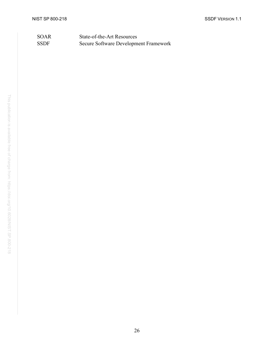### SOAR State-of-the-Art Resources SSDF Secure Software Development Framework